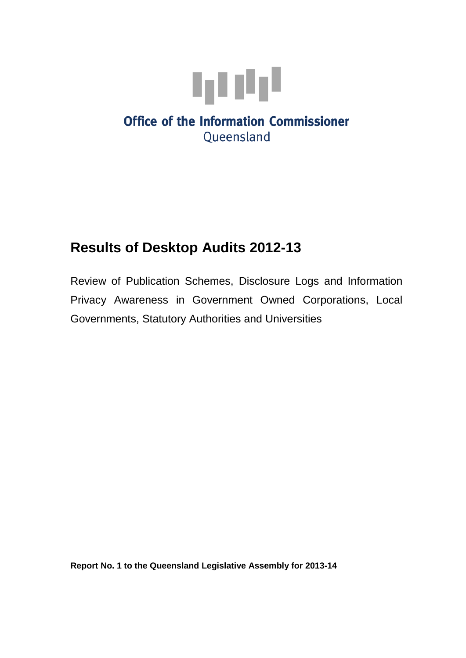

# **Office of the Information Commissioner** Queensland

# **Results of Desktop Audits 2012-13**

Review of Publication Schemes, Disclosure Logs and Information Privacy Awareness in Government Owned Corporations, Local Governments, Statutory Authorities and Universities

**Report No. 1 to the Queensland Legislative Assembly for 2013-14**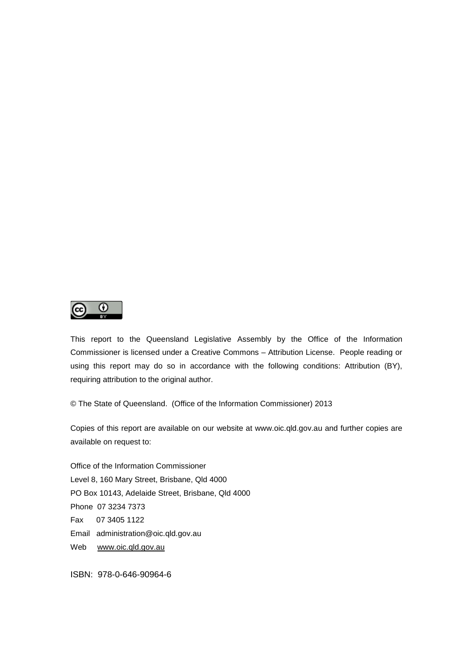

This report to the Queensland Legislative Assembly by the Office of the Information Commissioner is licensed under a Creative Commons – Attribution License. People reading or using this report may do so in accordance with the following conditions: Attribution (BY), requiring attribution to the original author.

© The State of Queensland. (Office of the Information Commissioner) 2013

Copies of this report are available on our website at www.oic.qld.gov.au and further copies are available on request to:

Office of the Information Commissioner Level 8, 160 Mary Street, Brisbane, Qld 4000 PO Box 10143, Adelaide Street, Brisbane, Qld 4000 Phone 07 3234 7373 Fax 07 3405 1122 Email administration@oic.qld.gov.au Web [www.oic.qld.gov.au](http://www.oic.qld.gov.au/)

ISBN: 978-0-646-90964-6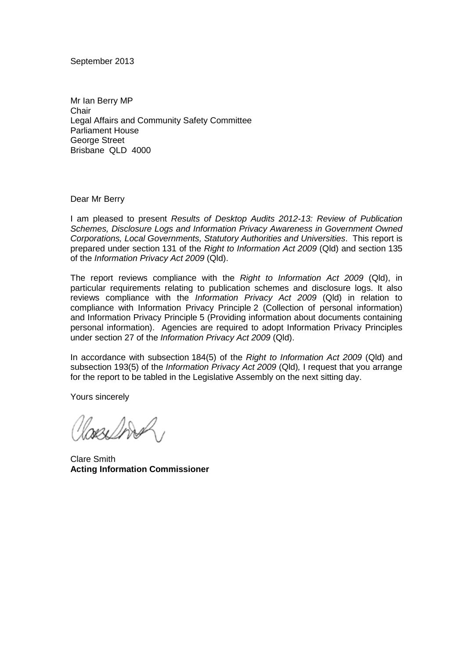September 2013

Mr Ian Berry MP **Chair** Legal Affairs and Community Safety Committee Parliament House George Street Brisbane QLD 4000

Dear Mr Berry

I am pleased to present *Results of Desktop Audits 2012-13: Review of Publication Schemes, Disclosure Logs and Information Privacy Awareness in Government Owned Corporations, Local Governments, Statutory Authorities and Universities*. This report is prepared under section 131 of the *Right to Information Act 2009* (Qld) and section 135 of the *Information Privacy Act 2009* (Qld).

The report reviews compliance with the *Right to Information Act 2009* (Qld), in particular requirements relating to publication schemes and disclosure logs. It also reviews compliance with the *Information Privacy Act 2009* (Qld) in relation to compliance with Information Privacy Principle 2 (Collection of personal information) and Information Privacy Principle 5 (Providing information about documents containing personal information). Agencies are required to adopt Information Privacy Principles under section 27 of the *Information Privacy Act 2009* (Qld).

In accordance with subsection 184(5) of the *Right to Information Act 2009* (Qld) and subsection 193(5) of the *Information Privacy Act 2009* (Qld)*,* I request that you arrange for the report to be tabled in the Legislative Assembly on the next sitting day.

Yours sincerely

besi Dodal

Clare Smith **Acting Information Commissioner**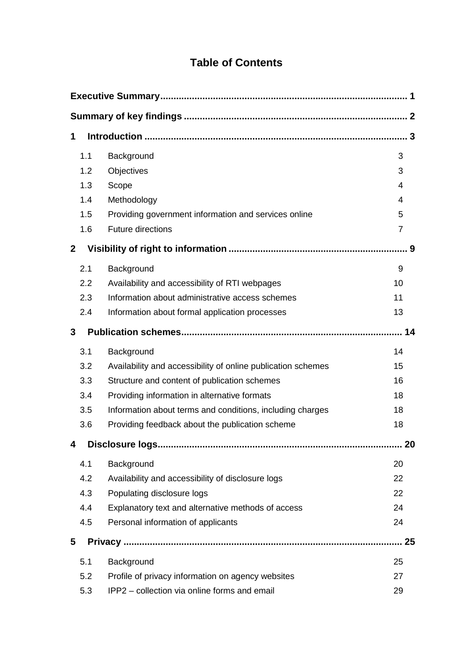# **Table of Contents**

| 1            |                                                              |     |
|--------------|--------------------------------------------------------------|-----|
| 1.1          | Background                                                   | 3   |
| 1.2          | Objectives                                                   | 3   |
| 1.3          | Scope                                                        | 4   |
| 1.4          | Methodology                                                  | 4   |
| 1.5          | Providing government information and services online         | 5   |
| 1.6          | <b>Future directions</b>                                     | 7   |
| $\mathbf{2}$ |                                                              | . 9 |
| 2.1          | Background                                                   | 9   |
| 2.2          | Availability and accessibility of RTI webpages               | 10  |
| 2.3          | Information about administrative access schemes              | 11  |
| 2.4          | Information about formal application processes               | 13  |
| 3            |                                                              | 14  |
| 3.1          | Background                                                   | 14  |
| 3.2          | Availability and accessibility of online publication schemes | 15  |
| 3.3          | Structure and content of publication schemes                 | 16  |
| 3.4          | Providing information in alternative formats                 | 18  |
| 3.5          | Information about terms and conditions, including charges    | 18  |
| 3.6          | Providing feedback about the publication scheme              | 18  |
| 4            |                                                              | 20  |
| 4.1          | Background                                                   | 20  |
| 4.2          | Availability and accessibility of disclosure logs            | 22  |
| 4.3          | Populating disclosure logs                                   | 22  |
| 4.4          | Explanatory text and alternative methods of access           | 24  |
| 4.5          | Personal information of applicants                           | 24  |
| 5            |                                                              | 25  |
| 5.1          | Background                                                   | 25  |
| 5.2          | Profile of privacy information on agency websites            | 27  |
| 5.3          | IPP2 - collection via online forms and email                 | 29  |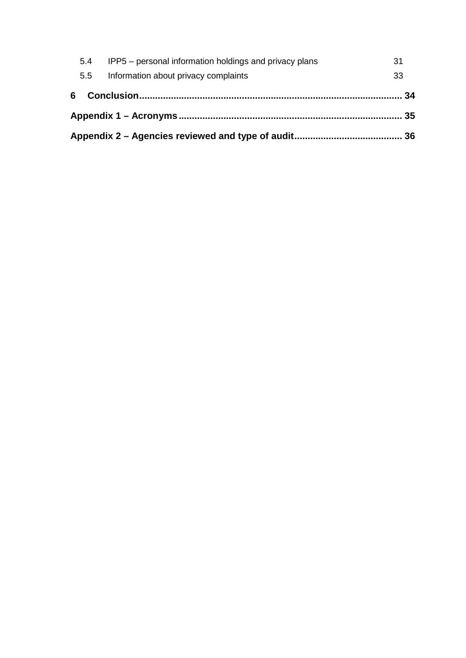| IPP5 – personal information holdings and privacy plans<br>5.4 |  | 31 |
|---------------------------------------------------------------|--|----|
| Information about privacy complaints<br>5.5                   |  | 33 |
| 6 -                                                           |  |    |
|                                                               |  |    |
|                                                               |  |    |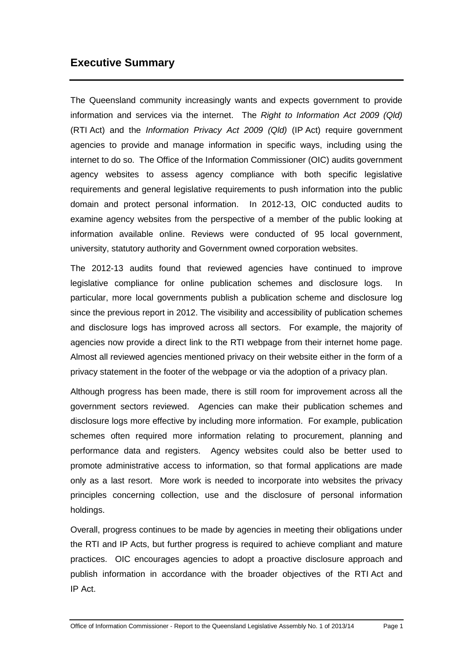# <span id="page-6-0"></span>**Executive Summary**

The Queensland community increasingly wants and expects government to provide information and services via the internet. The *Right to Information Act 2009 (Qld)* (RTI Act) and the *Information Privacy Act 2009 (Qld)* (IP Act) require government agencies to provide and manage information in specific ways, including using the internet to do so. The Office of the Information Commissioner (OIC) audits government agency websites to assess agency compliance with both specific legislative requirements and general legislative requirements to push information into the public domain and protect personal information. In 2012-13, OIC conducted audits to examine agency websites from the perspective of a member of the public looking at information available online. Reviews were conducted of 95 local government, university, statutory authority and Government owned corporation websites.

The 2012-13 audits found that reviewed agencies have continued to improve legislative compliance for online publication schemes and disclosure logs. In particular, more local governments publish a publication scheme and disclosure log since the previous report in 2012. The visibility and accessibility of publication schemes and disclosure logs has improved across all sectors. For example, the majority of agencies now provide a direct link to the RTI webpage from their internet home page. Almost all reviewed agencies mentioned privacy on their website either in the form of a privacy statement in the footer of the webpage or via the adoption of a privacy plan.

Although progress has been made, there is still room for improvement across all the government sectors reviewed. Agencies can make their publication schemes and disclosure logs more effective by including more information. For example, publication schemes often required more information relating to procurement, planning and performance data and registers. Agency websites could also be better used to promote administrative access to information, so that formal applications are made only as a last resort. More work is needed to incorporate into websites the privacy principles concerning collection, use and the disclosure of personal information holdings.

<span id="page-6-1"></span>Overall, progress continues to be made by agencies in meeting their obligations under the RTI and IP Acts, but further progress is required to achieve compliant and mature practices. OIC encourages agencies to adopt a proactive disclosure approach and publish information in accordance with the broader objectives of the RTI Act and IP Act.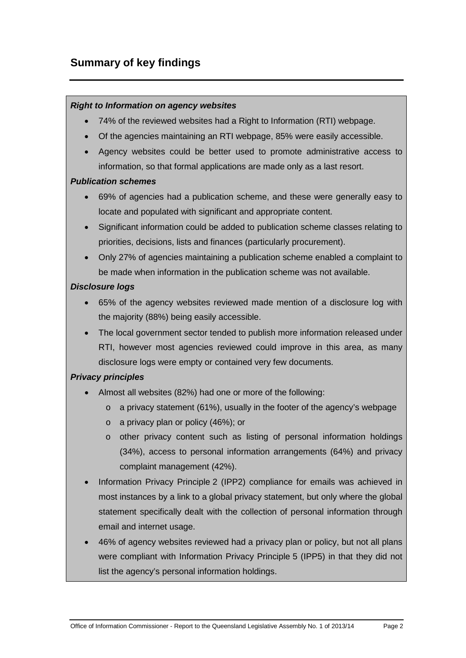# <span id="page-7-0"></span>**Summary of key findings**

#### *Right to Information on agency websites*

- 74% of the reviewed websites had a Right to Information (RTI) webpage.
- Of the agencies maintaining an RTI webpage, 85% were easily accessible.
- Agency websites could be better used to promote administrative access to information, so that formal applications are made only as a last resort.

#### *Publication schemes*

- 69% of agencies had a publication scheme, and these were generally easy to locate and populated with significant and appropriate content.
- Significant information could be added to publication scheme classes relating to priorities, decisions, lists and finances (particularly procurement).
- Only 27% of agencies maintaining a publication scheme enabled a complaint to be made when information in the publication scheme was not available.

#### *Disclosure logs*

- 65% of the agency websites reviewed made mention of a disclosure log with the majority (88%) being easily accessible.
- The local government sector tended to publish more information released under RTI, however most agencies reviewed could improve in this area, as many disclosure logs were empty or contained very few documents.

#### *Privacy principles*

- Almost all websites (82%) had one or more of the following:
	- o a privacy statement (61%), usually in the footer of the agency's webpage
	- o a privacy plan or policy (46%); or
	- o other privacy content such as listing of personal information holdings (34%), access to personal information arrangements (64%) and privacy complaint management (42%).
- Information Privacy Principle 2 (IPP2) compliance for emails was achieved in most instances by a link to a global privacy statement, but only where the global statement specifically dealt with the collection of personal information through email and internet usage.
- 46% of agency websites reviewed had a privacy plan or policy, but not all plans were compliant with Information Privacy Principle 5 (IPP5) in that they did not list the agency's personal information holdings.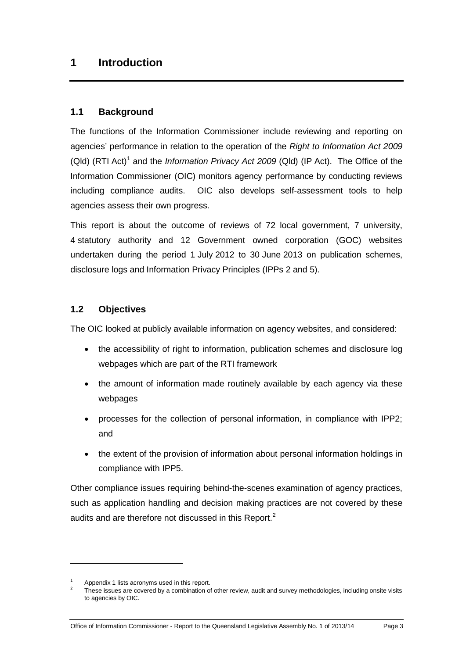# <span id="page-8-0"></span>**1 Introduction**

#### <span id="page-8-1"></span>**1.1 Background**

The functions of the Information Commissioner include reviewing and reporting on agencies' performance in relation to the operation of the *Right to Information Act 2009*  (Qld) (RTI Act) [1](#page-6-1) and the *Information Privacy Act 2009* (Qld) (IP Act). The Office of the Information Commissioner (OIC) monitors agency performance by conducting reviews including compliance audits. OIC also develops self-assessment tools to help agencies assess their own progress.

This report is about the outcome of reviews of 72 local government, 7 university, 4 statutory authority and 12 Government owned corporation (GOC) websites undertaken during the period 1 July 2012 to 30 June 2013 on publication schemes, disclosure logs and Information Privacy Principles (IPPs 2 and 5).

#### <span id="page-8-2"></span>**1.2 Objectives**

The OIC looked at publicly available information on agency websites, and considered:

- the accessibility of right to information, publication schemes and disclosure log webpages which are part of the RTI framework
- the amount of information made routinely available by each agency via these webpages
- processes for the collection of personal information, in compliance with IPP2; and
- the extent of the provision of information about personal information holdings in compliance with IPP5.

Other compliance issues requiring behind-the-scenes examination of agency practices, such as application handling and decision making practices are not covered by these audits and are therefore not discussed in this Report.<sup>[2](#page-8-3)</sup>

<span id="page-8-4"></span><u>.</u>

 $\frac{1}{2}$  Appendix 1 lists acronyms used in this report.

<span id="page-8-3"></span>These issues are covered by a combination of other review, audit and survey methodologies, including onsite visits to agencies by OIC.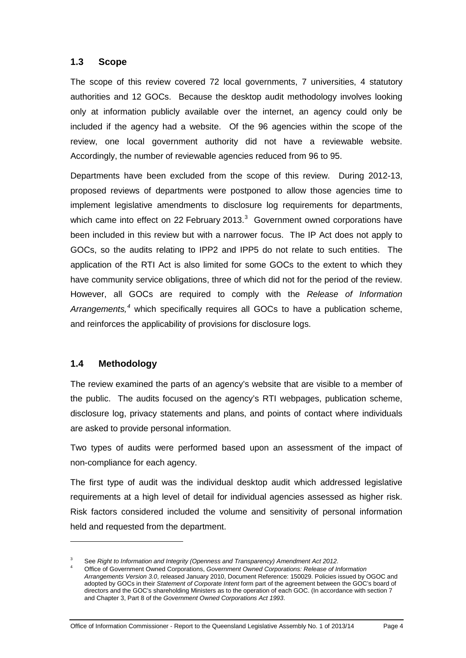#### <span id="page-9-0"></span>**1.3 Scope**

The scope of this review covered 72 local governments, 7 universities, 4 statutory authorities and 12 GOCs. Because the desktop audit methodology involves looking only at information publicly available over the internet, an agency could only be included if the agency had a website. Of the 96 agencies within the scope of the review, one local government authority did not have a reviewable website. Accordingly, the number of reviewable agencies reduced from 96 to 95.

Departments have been excluded from the scope of this review. During 2012-13, proposed reviews of departments were postponed to allow those agencies time to implement legislative amendments to disclosure log requirements for departments, which came into effect on 22 February 201[3](#page-8-4). $3$  Government owned corporations have been included in this review but with a narrower focus. The IP Act does not apply to GOCs, so the audits relating to IPP2 and IPP5 do not relate to such entities. The application of the RTI Act is also limited for some GOCs to the extent to which they have community service obligations, three of which did not for the period of the review. However, all GOCs are required to comply with the *Release of Information Arrangements, [4](#page-9-2)* which specifically requires all GOCs to have a publication scheme, and reinforces the applicability of provisions for disclosure logs.

#### <span id="page-9-1"></span>**1.4 Methodology**

<span id="page-9-3"></span>-

The review examined the parts of an agency's website that are visible to a member of the public. The audits focused on the agency's RTI webpages, publication scheme, disclosure log, privacy statements and plans, and points of contact where individuals are asked to provide personal information.

Two types of audits were performed based upon an assessment of the impact of non-compliance for each agency.

The first type of audit was the individual desktop audit which addressed legislative requirements at a high level of detail for individual agencies assessed as higher risk. Risk factors considered included the volume and sensitivity of personal information held and requested from the department.

<span id="page-9-2"></span><sup>3</sup> See *Right to Information and Integrity (Openness and Transparency) Amendment Act 2012*.

<sup>4</sup> Office of Government Owned Corporations, *Government Owned Corporations: Release of Information Arrangements Version 3.0*, released January 2010, Document Reference: 150029. Policies issued by OGOC and adopted by GOCs in their *Statement of Corporate Intent* form part of the agreement between the GOC's board of directors and the GOC's shareholding Ministers as to the operation of each GOC. (In accordance with section 7 and Chapter 3, Part 8 of the *Government Owned Corporations Act 1993*.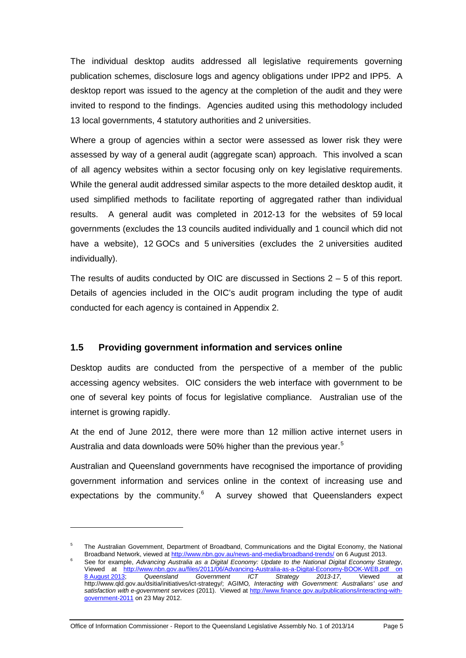The individual desktop audits addressed all legislative requirements governing publication schemes, disclosure logs and agency obligations under IPP2 and IPP5. A desktop report was issued to the agency at the completion of the audit and they were invited to respond to the findings. Agencies audited using this methodology included 13 local governments, 4 statutory authorities and 2 universities.

Where a group of agencies within a sector were assessed as lower risk they were assessed by way of a general audit (aggregate scan) approach. This involved a scan of all agency websites within a sector focusing only on key legislative requirements. While the general audit addressed similar aspects to the more detailed desktop audit, it used simplified methods to facilitate reporting of aggregated rather than individual results. A general audit was completed in 2012-13 for the websites of 59 local governments (excludes the 13 councils audited individually and 1 council which did not have a website), 12 GOCs and 5 universities (excludes the 2 universities audited individually).

The results of audits conducted by OIC are discussed in Sections  $2 - 5$  of this report. Details of agencies included in the OIC's audit program including the type of audit conducted for each agency is contained in Appendix 2.

#### <span id="page-10-0"></span>**1.5 Providing government information and services online**

Desktop audits are conducted from the perspective of a member of the public accessing agency websites. OIC considers the web interface with government to be one of several key points of focus for legislative compliance. Australian use of the internet is growing rapidly.

At the end of June 2012, there were more than 12 million active internet users in Australia and data downloads were [5](#page-9-3)0% higher than the previous year.<sup>5</sup>

Australian and Queensland governments have recognised the importance of providing government information and services online in the context of increasing use and expectations by the community. $6$  A survey showed that Queenslanders expect

Office of Information Commissioner - Report to the Queensland Legislative Assembly No. 1 of 2013/14 Page 5

<span id="page-10-2"></span><span id="page-10-1"></span><sup>&</sup>lt;sup>5</sup> The Australian Government, Department of Broadband, Communications and the Digital Economy, the National Broadband Network, viewed at<http://www.nbn.gov.au/news-and-media/broadband-trends/> on 6 August 2013.

<sup>6</sup> See for example, *Advancing Australia as a Digital Economy: Update to the National Digital Economy Strategy*, Viewed at [http://www.nbn.gov.au/files/2011/06/Advancing-Australia-as-a-Digital-Economy-BOOK-WEB.pdf](http://www.nbn.gov.au/files/2011/06/Advancing-Australia-as-a-Digital-Economy-BOOK-WEB.pdf%20on%208 August 2013) on<br>8 August 2013; Queensland Government ICT Strategy 2013-17, Viewed at 8 [August](http://www.nbn.gov.au/files/2011/06/Advancing-Australia-as-a-Digital-Economy-BOOK-WEB.pdf%20on%208 August 2013) 2013; *Queensland Government ICT Strategy 2013-17*, Viewed at http://www.qld.gov.au/dsitia/initiatives/ict-strategy/; AGIMO*, Interacting with Government: Australians' use and satisfaction with e-government services* (2011). Viewed at [http://www.finance.gov.au/publications/interacting-with](http://www.finance.gov.au/publications/interacting-with-government-2011)[government-2011](http://www.finance.gov.au/publications/interacting-with-government-2011) on 23 May 2012.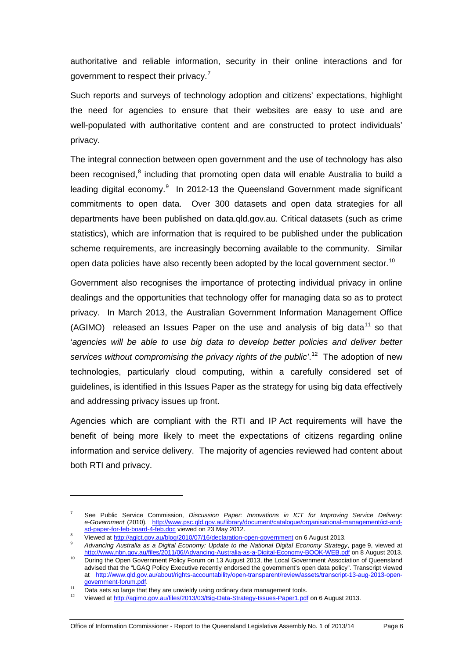authoritative and reliable information, security in their online interactions and for government to respect their privacy.<sup>[7](#page-10-2)</sup>

Such reports and surveys of technology adoption and citizens' expectations, highlight the need for agencies to ensure that their websites are easy to use and are well-populated with authoritative content and are constructed to protect individuals' privacy.

The integral connection between open government and the use of technology has also been recognised, $8$  including that promoting open data will enable Australia to build a leading digital economy.<sup>[9](#page-11-1)</sup> In 2012-13 the Queensland Government made significant commitments to open data. Over 300 datasets and open data strategies for all departments have been published on data.qld.gov.au. Critical datasets (such as crime statistics), which are information that is required to be published under the publication scheme requirements, are increasingly becoming available to the community. Similar open data policies have also recently been adopted by the local government sector.<sup>[10](#page-11-2)</sup>

Government also recognises the importance of protecting individual privacy in online dealings and the opportunities that technology offer for managing data so as to protect privacy. In March 2013, the Australian Government Information Management Office (AGIMO) released an Issues Paper on the use and analysis of big data<sup>[11](#page-11-3)</sup> so that 'agencies will be able to use big data to develop better policies and deliver better services without compromising the privacy rights of the public<sup>''</sup> The adoption of new technologies, particularly cloud computing, within a carefully considered set of guidelines, is identified in this Issues Paper as the strategy for using big data effectively and addressing privacy issues up front.

Agencies which are compliant with the RTI and IP Act requirements will have the benefit of being more likely to meet the expectations of citizens regarding online information and service delivery. The majority of agencies reviewed had content about both RTI and privacy.

<sup>7</sup> See Public Service Commission, *Discussion Paper: Innovations in ICT for Improving Service Delivery: e-Government* (2010). http://www.psc.qld.gov.au/library/document/catalogue/organisational-management/ict-and-<br>sd-paper-for-feb-board-4-feb.doc viewed on 23 May 2012.

<span id="page-11-1"></span><span id="page-11-0"></span>Viewed at<http://agict.gov.au/blog/2010/07/16/declaration-open-government> on 6 August 2013.

<sup>9</sup> *Advancing Australia as a Digital Economy: Update to the National Digital Economy Strategy*, page 9, viewed at <http://www.nbn.gov.au/files/2011/06/Advancing-Australia-as-a-Digital-Economy-BOOK-WEB.pdf> on 8 August 2013.

<span id="page-11-2"></span><sup>&</sup>lt;sup>10</sup> During the Open Government Policy Forum on 13 August 2013, the Local Government Association of Queensland advised that the "LGAQ Policy Executive recently endorsed the government's open data policy". Transcript viewed at [http://www.qld.gov.au/about/rights-accountability/open-transparent/review/assets/transcript-13-aug-2013-open-](http://www.qld.gov.au/about/rights-accountability/open-transparent/review/assets/transcript-13-aug-2013-open-government-forum.pdf)

<span id="page-11-5"></span>government-forum.pdf.<br>Data sets so large that they are unwieldy using ordinary data management tools.

<span id="page-11-4"></span><span id="page-11-3"></span><sup>12</sup> Viewed at<http://agimo.gov.au/files/2013/03/Big-Data-Strategy-Issues-Paper1.pdf> on 6 August 2013.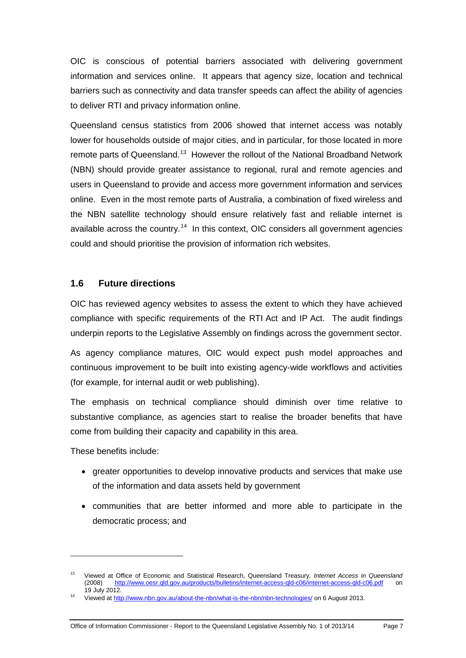OIC is conscious of potential barriers associated with delivering government information and services online. It appears that agency size, location and technical barriers such as connectivity and data transfer speeds can affect the ability of agencies to deliver RTI and privacy information online.

Queensland census statistics from 2006 showed that internet access was notably lower for households outside of major cities, and in particular, for those located in more remote parts of Queensland.<sup>[13](#page-11-5)</sup> However the rollout of the National Broadband Network (NBN) should provide greater assistance to regional, rural and remote agencies and users in Queensland to provide and access more government information and services online. Even in the most remote parts of Australia, a combination of fixed wireless and the NBN satellite technology should ensure relatively fast and reliable internet is available across the country.<sup>14</sup> In this context, OIC considers all government agencies could and should prioritise the provision of information rich websites.

#### <span id="page-12-0"></span>**1.6 Future directions**

OIC has reviewed agency websites to assess the extent to which they have achieved compliance with specific requirements of the RTI Act and IP Act. The audit findings underpin reports to the Legislative Assembly on findings across the government sector.

As agency compliance matures, OIC would expect push model approaches and continuous improvement to be built into existing agency-wide workflows and activities (for example, for internal audit or web publishing).

The emphasis on technical compliance should diminish over time relative to substantive compliance, as agencies start to realise the broader benefits that have come from building their capacity and capability in this area.

These benefits include:

- greater opportunities to develop innovative products and services that make use of the information and data assets held by government
- communities that are better informed and more able to participate in the democratic process; and

<sup>13</sup> Viewed at Office of Economic and Statistical Research, Queensland Treasury*, Internet Access in Queensland* (2008) <http://www.oesr.qld.gov.au/products/bulletins/internet-access-qld-c06/internet-access-qld-c06.pdf> on 19 July 2012.

<span id="page-12-2"></span><span id="page-12-1"></span><sup>14</sup> Viewed at<http://www.nbn.gov.au/about-the-nbn/what-is-the-nbn/nbn-technologies/> on 6 August 2013.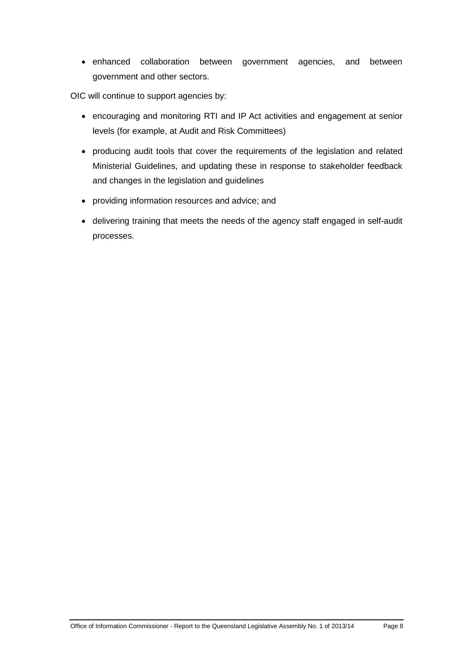• enhanced collaboration between government agencies, and between government and other sectors.

OIC will continue to support agencies by:

- encouraging and monitoring RTI and IP Act activities and engagement at senior levels (for example, at Audit and Risk Committees)
- producing audit tools that cover the requirements of the legislation and related Ministerial Guidelines, and updating these in response to stakeholder feedback and changes in the legislation and guidelines
- providing information resources and advice; and
- delivering training that meets the needs of the agency staff engaged in self-audit processes.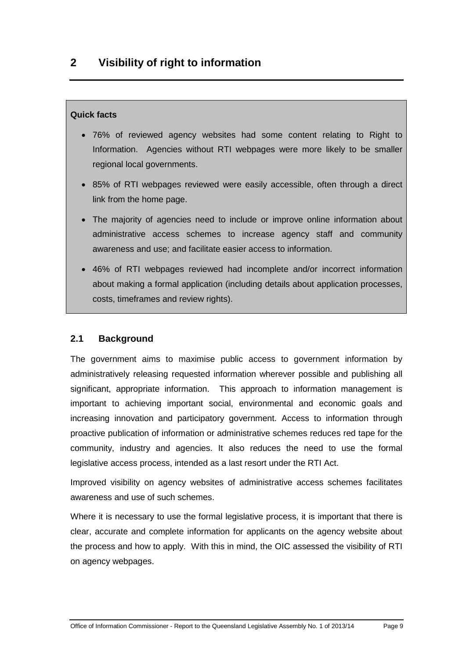#### <span id="page-14-0"></span>**Quick facts**

- 76% of reviewed agency websites had some content relating to Right to Information. Agencies without RTI webpages were more likely to be smaller regional local governments.
- 85% of RTI webpages reviewed were easily accessible, often through a direct link from the home page.
- The majority of agencies need to include or improve online information about administrative access schemes to increase agency staff and community awareness and use; and facilitate easier access to information.
- 46% of RTI webpages reviewed had incomplete and/or incorrect information about making a formal application (including details about application processes, costs, timeframes and review rights).

## <span id="page-14-1"></span>**2.1 Background**

The government aims to maximise public access to government information by administratively releasing requested information wherever possible and publishing all significant, appropriate information. This approach to information management is important to achieving important social, environmental and economic goals and increasing innovation and participatory government. Access to information through proactive publication of information or administrative schemes reduces red tape for the community, industry and agencies. It also reduces the need to use the formal legislative access process, intended as a last resort under the RTI Act.

Improved visibility on agency websites of administrative access schemes facilitates awareness and use of such schemes.

Where it is necessary to use the formal legislative process, it is important that there is clear, accurate and complete information for applicants on the agency website about the process and how to apply. With this in mind, the OIC assessed the visibility of RTI on agency webpages.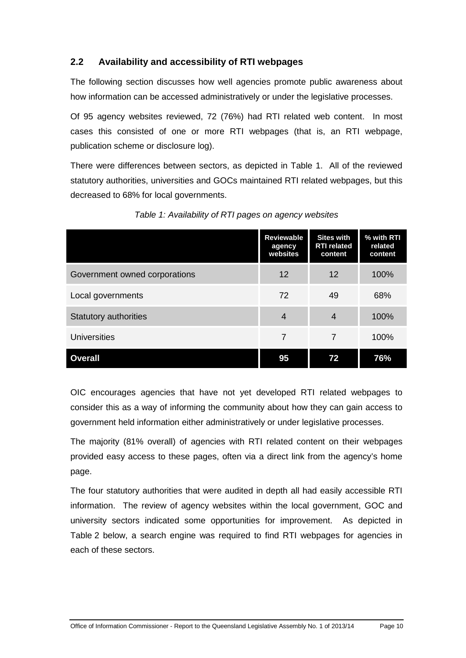## <span id="page-15-0"></span>**2.2 Availability and accessibility of RTI webpages**

The following section discusses how well agencies promote public awareness about how information can be accessed administratively or under the legislative processes.

Of 95 agency websites reviewed, 72 (76%) had RTI related web content. In most cases this consisted of one or more RTI webpages (that is, an RTI webpage, publication scheme or disclosure log).

There were differences between sectors, as depicted in Table 1. All of the reviewed statutory authorities, universities and GOCs maintained RTI related webpages, but this decreased to 68% for local governments.

|                               | <b>Reviewable</b><br>agency<br>websites | <b>Sites with</b><br><b>RTI related</b><br>content | % with RTI<br>related<br>content |
|-------------------------------|-----------------------------------------|----------------------------------------------------|----------------------------------|
| Government owned corporations | 12                                      | 12                                                 | 100%                             |
| Local governments             | 72                                      | 49                                                 | 68%                              |
| <b>Statutory authorities</b>  | $\overline{4}$                          | $\overline{4}$                                     | 100%                             |
| <b>Universities</b>           | 7                                       | 7                                                  | 100%                             |
| <b>Overall</b>                | 95                                      | 72                                                 | 76%                              |

*Table 1: Availability of RTI pages on agency websites*

OIC encourages agencies that have not yet developed RTI related webpages to consider this as a way of informing the community about how they can gain access to government held information either administratively or under legislative processes.

The majority (81% overall) of agencies with RTI related content on their webpages provided easy access to these pages, often via a direct link from the agency's home page.

The four statutory authorities that were audited in depth all had easily accessible RTI information. The review of agency websites within the local government, GOC and university sectors indicated some opportunities for improvement. As depicted in Table 2 below, a search engine was required to find RTI webpages for agencies in each of these sectors.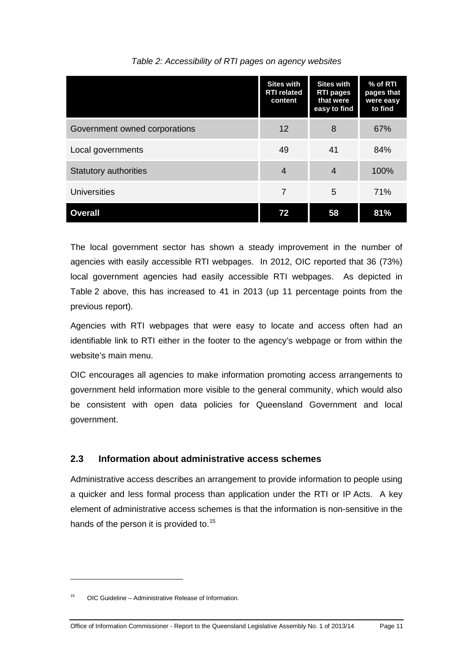|                               | <b>Sites with</b><br><b>RTI</b> related<br>content | <b>Sites with</b><br><b>RTI pages</b><br>that were<br>easy to find | % of RTI<br>pages that<br>were easy<br>to find |
|-------------------------------|----------------------------------------------------|--------------------------------------------------------------------|------------------------------------------------|
| Government owned corporations | 12                                                 | 8                                                                  | 67%                                            |
| Local governments             | 49                                                 | 41                                                                 | 84%                                            |
| <b>Statutory authorities</b>  | $\overline{4}$                                     | $\overline{4}$                                                     | 100%                                           |
| <b>Universities</b>           | 7                                                  | 5                                                                  | 71%                                            |
| <b>Overall</b>                | 72                                                 | 58                                                                 | 81%                                            |

#### *Table 2: Accessibility of RTI pages on agency websites*

The local government sector has shown a steady improvement in the number of agencies with easily accessible RTI webpages. In 2012, OIC reported that 36 (73%) local government agencies had easily accessible RTI webpages. As depicted in Table 2 above, this has increased to 41 in 2013 (up 11 percentage points from the previous report).

Agencies with RTI webpages that were easy to locate and access often had an identifiable link to RTI either in the footer to the agency's webpage or from within the website's main menu.

OIC encourages all agencies to make information promoting access arrangements to government held information more visible to the general community, which would also be consistent with open data policies for Queensland Government and local government.

## <span id="page-16-0"></span>**2.3 Information about administrative access schemes**

Administrative access describes an arrangement to provide information to people using a quicker and less formal process than application under the RTI or IP Acts. A key element of administrative access schemes is that the information is non-sensitive in the hands of the person it is provided to.<sup>[15](#page-12-2)</sup>

<span id="page-16-1"></span> $15$  OIC Guideline – Administrative Release of Information.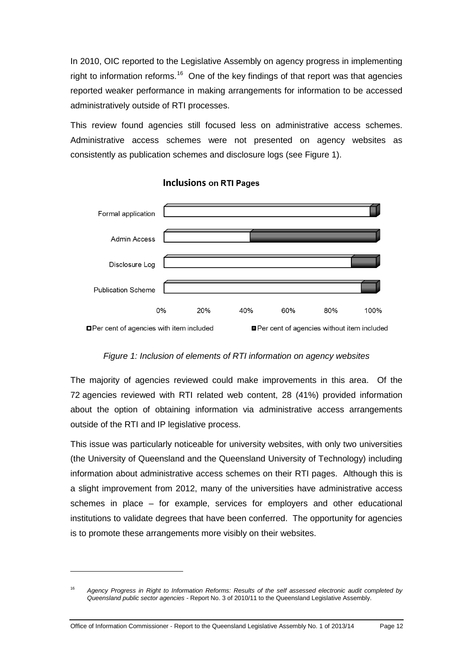In 2010, OIC reported to the Legislative Assembly on agency progress in implementing right to information reforms.<sup>[16](#page-16-1)</sup> One of the key findings of that report was that agencies reported weaker performance in making arrangements for information to be accessed administratively outside of RTI processes.

This review found agencies still focused less on administrative access schemes. Administrative access schemes were not presented on agency websites as consistently as publication schemes and disclosure logs (see Figure 1).



**Inclusions on RTI Pages** 

#### *Figure 1: Inclusion of elements of RTI information on agency websites*

The majority of agencies reviewed could make improvements in this area. Of the 72 agencies reviewed with RTI related web content, 28 (41%) provided information about the option of obtaining information via administrative access arrangements outside of the RTI and IP legislative process.

This issue was particularly noticeable for university websites, with only two universities (the University of Queensland and the Queensland University of Technology) including information about administrative access schemes on their RTI pages. Although this is a slight improvement from 2012, many of the universities have administrative access schemes in place – for example, services for employers and other educational institutions to validate degrees that have been conferred. The opportunity for agencies is to promote these arrangements more visibly on their websites.

<span id="page-17-0"></span><sup>16</sup> *Agency Progress in Right to Information Reforms: Results of the self assessed electronic audit completed by Queensland public sector agencies -* Report No. 3 of 2010/11 to the Queensland Legislative Assembly.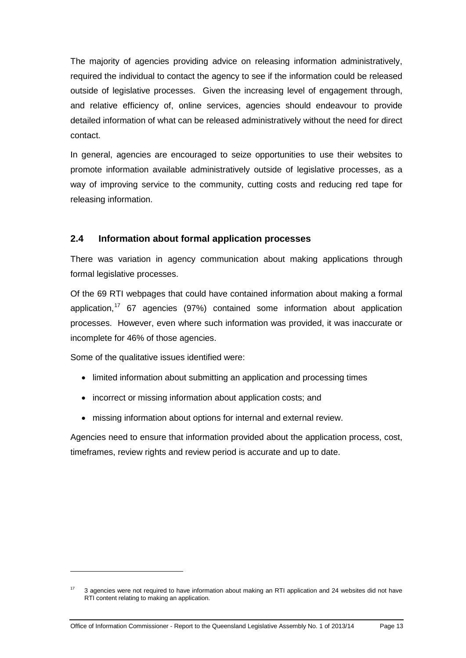The majority of agencies providing advice on releasing information administratively, required the individual to contact the agency to see if the information could be released outside of legislative processes. Given the increasing level of engagement through, and relative efficiency of, online services, agencies should endeavour to provide detailed information of what can be released administratively without the need for direct contact.

In general, agencies are encouraged to seize opportunities to use their websites to promote information available administratively outside of legislative processes, as a way of improving service to the community, cutting costs and reducing red tape for releasing information.

#### <span id="page-18-0"></span>**2.4 Information about formal application processes**

There was variation in agency communication about making applications through formal legislative processes.

Of the 69 RTI webpages that could have contained information about making a formal application,<sup>[17](#page-17-0)</sup> 67 agencies (97%) contained some information about application processes. However, even where such information was provided, it was inaccurate or incomplete for 46% of those agencies.

Some of the qualitative issues identified were:

-

- limited information about submitting an application and processing times
- incorrect or missing information about application costs; and
- missing information about options for internal and external review.

Agencies need to ensure that information provided about the application process, cost, timeframes, review rights and review period is accurate and up to date.

<span id="page-18-1"></span><sup>&</sup>lt;sup>17</sup> 3 agencies were not required to have information about making an RTI application and 24 websites did not have RTI content relating to making an application.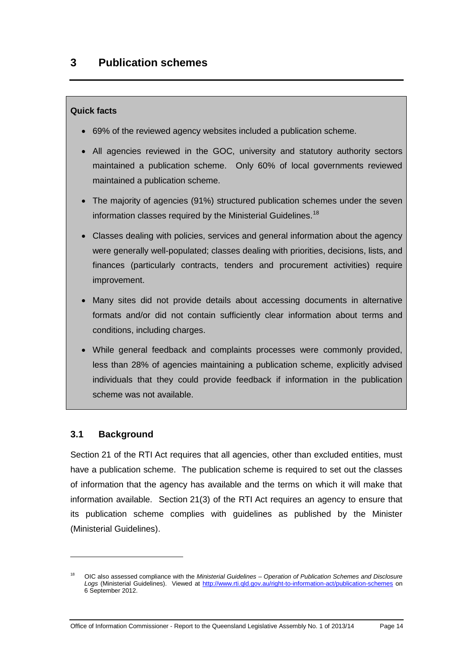#### <span id="page-19-0"></span>**Quick facts**

- 69% of the reviewed agency websites included a publication scheme.
- All agencies reviewed in the GOC, university and statutory authority sectors maintained a publication scheme. Only 60% of local governments reviewed maintained a publication scheme.
- The majority of agencies (91%) structured publication schemes under the seven information classes required by the Ministerial Guidelines. [18](#page-18-1)
- Classes dealing with policies, services and general information about the agency were generally well-populated; classes dealing with priorities, decisions, lists, and finances (particularly contracts, tenders and procurement activities) require improvement.
- Many sites did not provide details about accessing documents in alternative formats and/or did not contain sufficiently clear information about terms and conditions, including charges.
- While general feedback and complaints processes were commonly provided, less than 28% of agencies maintaining a publication scheme, explicitly advised individuals that they could provide feedback if information in the publication scheme was not available.

#### <span id="page-19-1"></span>**3.1 Background**

-

Section 21 of the RTI Act requires that all agencies, other than excluded entities, must have a publication scheme. The publication scheme is required to set out the classes of information that the agency has available and the terms on which it will make that information available. Section 21(3) of the RTI Act requires an agency to ensure that its publication scheme complies with guidelines as published by the Minister (Ministerial Guidelines).

<span id="page-19-2"></span><sup>18</sup> OIC also assessed compliance with the *Ministerial Guidelines – Operation of Publication Schemes and Disclosure Logs* (Ministerial Guidelines). Viewed at<http://www.rti.qld.gov.au/right-to-information-act/publication-schemes> on 6 September 2012.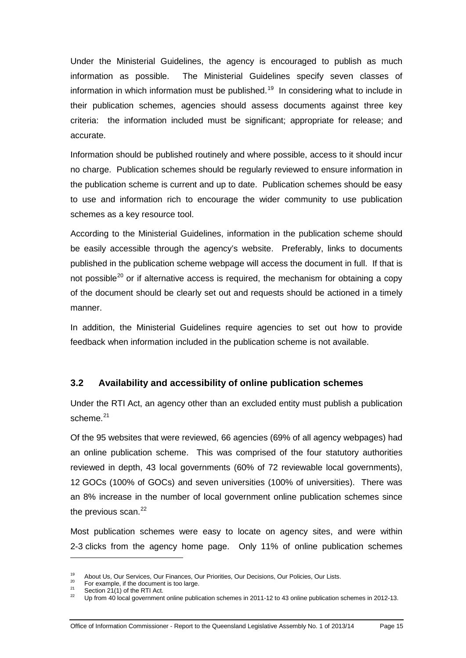Under the Ministerial Guidelines, the agency is encouraged to publish as much information as possible. The Ministerial Guidelines specify seven classes of information in which information must be published. [19](#page-19-2) In considering what to include in their publication schemes, agencies should assess documents against three key criteria: the information included must be significant; appropriate for release; and accurate.

Information should be published routinely and where possible, access to it should incur no charge. Publication schemes should be regularly reviewed to ensure information in the publication scheme is current and up to date. Publication schemes should be easy to use and information rich to encourage the wider community to use publication schemes as a key resource tool.

According to the Ministerial Guidelines, information in the publication scheme should be easily accessible through the agency's website. Preferably, links to documents published in the publication scheme webpage will access the document in full. If that is not possible<sup>[20](#page-20-1)</sup> or if alternative access is required, the mechanism for obtaining a copy of the document should be clearly set out and requests should be actioned in a timely manner.

In addition, the Ministerial Guidelines require agencies to set out how to provide feedback when information included in the publication scheme is not available.

#### <span id="page-20-0"></span>**3.2 Availability and accessibility of online publication schemes**

Under the RTI Act, an agency other than an excluded entity must publish a publication scheme.<sup>[21](#page-20-2)</sup>

Of the 95 websites that were reviewed, 66 agencies (69% of all agency webpages) had an online publication scheme. This was comprised of the four statutory authorities reviewed in depth, 43 local governments (60% of 72 reviewable local governments), 12 GOCs (100% of GOCs) and seven universities (100% of universities). There was an 8% increase in the number of local government online publication schemes since the previous scan.<sup>[22](#page-20-3)</sup>

Most publication schemes were easy to locate on agency sites, and were within 2-3 clicks from the agency home page. Only 11% of online publication schemes

<span id="page-20-3"></span><span id="page-20-2"></span>

<span id="page-20-1"></span><sup>&</sup>lt;sup>19</sup> About Us, Our Services, Our Finances, Our Priorities, Our Decisions, Our Policies, Our Lists.<br>
<sup>20</sup> For example, if the document is too large.<br>
<sup>21</sup> Section 21(1) of the RTI Act.<br>
<sup>22</sup> Up from 40 local government onl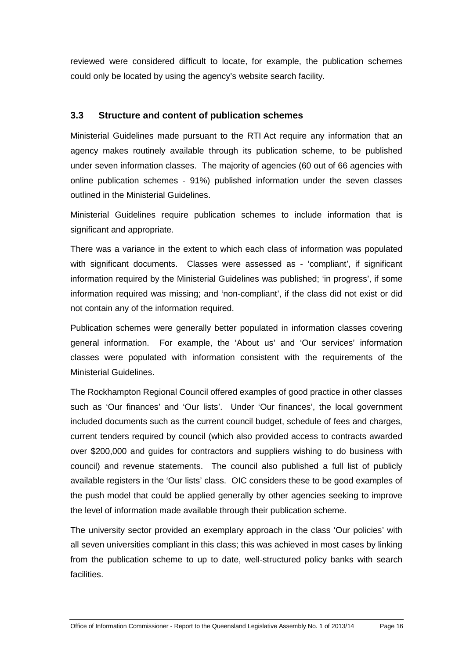reviewed were considered difficult to locate, for example, the publication schemes could only be located by using the agency's website search facility.

#### <span id="page-21-0"></span>**3.3 Structure and content of publication schemes**

Ministerial Guidelines made pursuant to the RTI Act require any information that an agency makes routinely available through its publication scheme, to be published under seven information classes. The majority of agencies (60 out of 66 agencies with online publication schemes - 91%) published information under the seven classes outlined in the Ministerial Guidelines.

Ministerial Guidelines require publication schemes to include information that is significant and appropriate.

There was a variance in the extent to which each class of information was populated with significant documents. Classes were assessed as - 'compliant', if significant information required by the Ministerial Guidelines was published; 'in progress', if some information required was missing; and 'non-compliant', if the class did not exist or did not contain any of the information required.

Publication schemes were generally better populated in information classes covering general information. For example, the 'About us' and 'Our services' information classes were populated with information consistent with the requirements of the Ministerial Guidelines.

The Rockhampton Regional Council offered examples of good practice in other classes such as 'Our finances' and 'Our lists'. Under 'Our finances', the local government included documents such as the current council budget, schedule of fees and charges, current tenders required by council (which also provided access to contracts awarded over \$200,000 and guides for contractors and suppliers wishing to do business with council) and revenue statements. The council also published a full list of publicly available registers in the 'Our lists' class. OIC considers these to be good examples of the push model that could be applied generally by other agencies seeking to improve the level of information made available through their publication scheme.

The university sector provided an exemplary approach in the class 'Our policies' with all seven universities compliant in this class; this was achieved in most cases by linking from the publication scheme to up to date, well-structured policy banks with search facilities.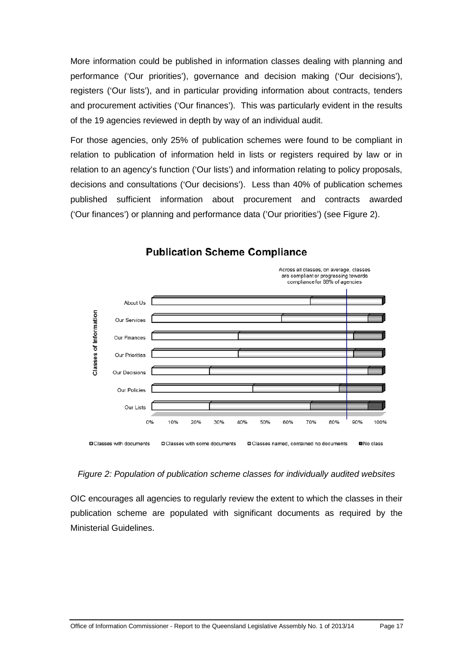More information could be published in information classes dealing with planning and performance ('Our priorities'), governance and decision making ('Our decisions'), registers ('Our lists'), and in particular providing information about contracts, tenders and procurement activities ('Our finances'). This was particularly evident in the results of the 19 agencies reviewed in depth by way of an individual audit.

For those agencies, only 25% of publication schemes were found to be compliant in relation to publication of information held in lists or registers required by law or in relation to an agency's function ('Our lists') and information relating to policy proposals, decisions and consultations ('Our decisions'). Less than 40% of publication schemes published sufficient information about procurement and contracts awarded ('Our finances') or planning and performance data ('Our priorities') (see Figure 2).



## **Publication Scheme Compliance**

## *Figure 2: Population of publication scheme classes for individually audited websites*

OIC encourages all agencies to regularly review the extent to which the classes in their publication scheme are populated with significant documents as required by the Ministerial Guidelines.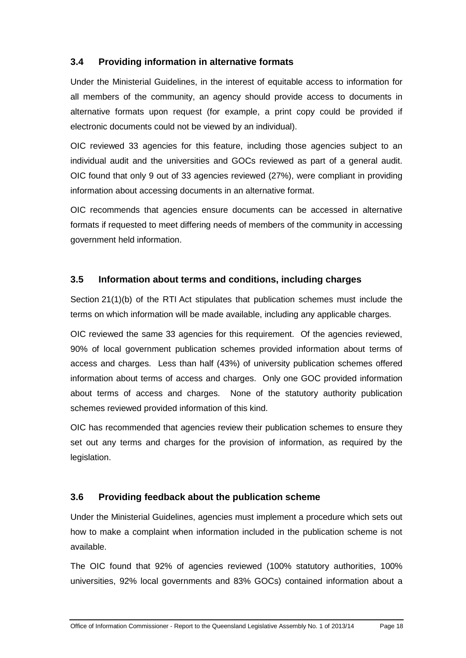## <span id="page-23-0"></span>**3.4 Providing information in alternative formats**

Under the Ministerial Guidelines, in the interest of equitable access to information for all members of the community, an agency should provide access to documents in alternative formats upon request (for example, a print copy could be provided if electronic documents could not be viewed by an individual).

OIC reviewed 33 agencies for this feature, including those agencies subject to an individual audit and the universities and GOCs reviewed as part of a general audit. OIC found that only 9 out of 33 agencies reviewed (27%), were compliant in providing information about accessing documents in an alternative format.

OIC recommends that agencies ensure documents can be accessed in alternative formats if requested to meet differing needs of members of the community in accessing government held information.

#### <span id="page-23-1"></span>**3.5 Information about terms and conditions, including charges**

Section 21(1)(b) of the RTI Act stipulates that publication schemes must include the terms on which information will be made available, including any applicable charges.

OIC reviewed the same 33 agencies for this requirement. Of the agencies reviewed, 90% of local government publication schemes provided information about terms of access and charges. Less than half (43%) of university publication schemes offered information about terms of access and charges. Only one GOC provided information about terms of access and charges. None of the statutory authority publication schemes reviewed provided information of this kind.

OIC has recommended that agencies review their publication schemes to ensure they set out any terms and charges for the provision of information, as required by the legislation.

## <span id="page-23-2"></span>**3.6 Providing feedback about the publication scheme**

Under the Ministerial Guidelines, agencies must implement a procedure which sets out how to make a complaint when information included in the publication scheme is not available.

The OIC found that 92% of agencies reviewed (100% statutory authorities, 100% universities, 92% local governments and 83% GOCs) contained information about a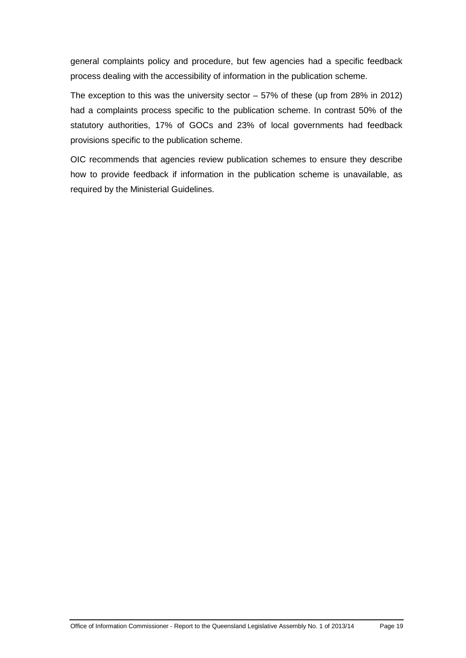general complaints policy and procedure, but few agencies had a specific feedback process dealing with the accessibility of information in the publication scheme.

The exception to this was the university sector – 57% of these (up from 28% in 2012) had a complaints process specific to the publication scheme. In contrast 50% of the statutory authorities, 17% of GOCs and 23% of local governments had feedback provisions specific to the publication scheme.

OIC recommends that agencies review publication schemes to ensure they describe how to provide feedback if information in the publication scheme is unavailable, as required by the Ministerial Guidelines.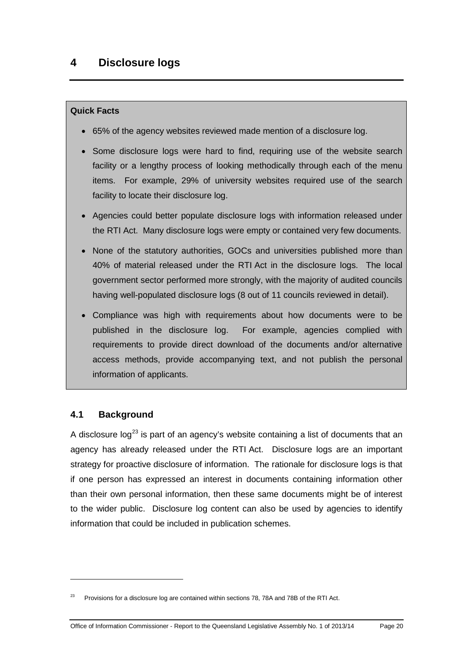#### <span id="page-25-0"></span>**Quick Facts**

- 65% of the agency websites reviewed made mention of a disclosure log.
- Some disclosure logs were hard to find, requiring use of the website search facility or a lengthy process of looking methodically through each of the menu items. For example, 29% of university websites required use of the search facility to locate their disclosure log.
- Agencies could better populate disclosure logs with information released under the RTI Act. Many disclosure logs were empty or contained very few documents.
- None of the statutory authorities, GOCs and universities published more than 40% of material released under the RTI Act in the disclosure logs. The local government sector performed more strongly, with the majority of audited councils having well-populated disclosure logs (8 out of 11 councils reviewed in detail).
- Compliance was high with requirements about how documents were to be published in the disclosure log. For example, agencies complied with requirements to provide direct download of the documents and/or alternative access methods, provide accompanying text, and not publish the personal information of applicants.

## <span id="page-25-1"></span>**4.1 Background**

<span id="page-25-2"></span>-

A disclosure  $log^{23}$  $log^{23}$  $log^{23}$  is part of an agency's website containing a list of documents that an agency has already released under the RTI Act. Disclosure logs are an important strategy for proactive disclosure of information. The rationale for disclosure logs is that if one person has expressed an interest in documents containing information other than their own personal information, then these same documents might be of interest to the wider public. Disclosure log content can also be used by agencies to identify information that could be included in publication schemes.

<sup>23</sup> Provisions for a disclosure log are contained within sections 78, 78A and 78B of the RTI Act.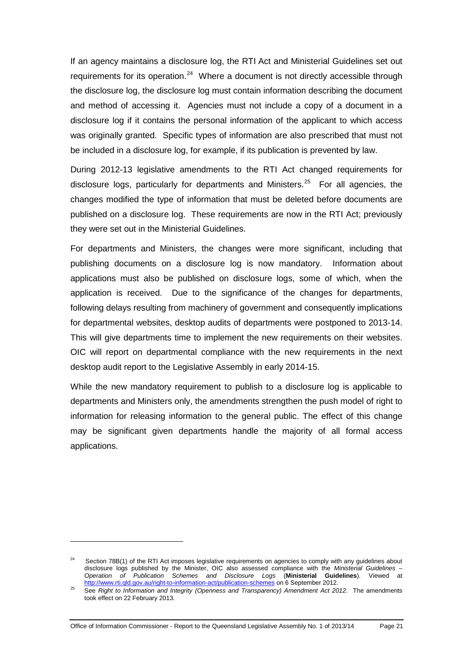If an agency maintains a disclosure log, the RTI Act and Ministerial Guidelines set out requirements for its operation.<sup>[24](#page-25-2)</sup> Where a document is not directly accessible through the disclosure log, the disclosure log must contain information describing the document and method of accessing it. Agencies must not include a copy of a document in a disclosure log if it contains the personal information of the applicant to which access was originally granted. Specific types of information are also prescribed that must not be included in a disclosure log, for example, if its publication is prevented by law.

During 2012-13 legislative amendments to the RTI Act changed requirements for disclosure logs, particularly for departments and Ministers.<sup>[25](#page-26-0)</sup> For all agencies, the changes modified the type of information that must be deleted before documents are published on a disclosure log. These requirements are now in the RTI Act; previously they were set out in the Ministerial Guidelines.

For departments and Ministers, the changes were more significant, including that publishing documents on a disclosure log is now mandatory. Information about applications must also be published on disclosure logs, some of which, when the application is received. Due to the significance of the changes for departments, following delays resulting from machinery of government and consequently implications for departmental websites, desktop audits of departments were postponed to 2013-14. This will give departments time to implement the new requirements on their websites. OIC will report on departmental compliance with the new requirements in the next desktop audit report to the Legislative Assembly in early 2014-15.

While the new mandatory requirement to publish to a disclosure log is applicable to departments and Ministers only, the amendments strengthen the push model of right to information for releasing information to the general public. The effect of this change may be significant given departments handle the majority of all formal access applications.

<sup>&</sup>lt;sup>24</sup> Section 78B(1) of the RTI Act imposes legislative requirements on agencies to comply with any guidelines about disclosure logs published by the Minister, OIC also assessed compliance with the *Ministerial Guidelines – Operation of Publication Schemes and Disclosure Logs* (**Ministerial Guidelines**). Viewed at <http://www.rti.qld.gov.au/right-to-information-act/publication-schemes> on 6 September 2012.

<span id="page-26-1"></span><span id="page-26-0"></span><sup>&</sup>lt;sup>25</sup> See *Right to Information and Integrity (Openness and Transparency) Amendment Act 2012. The amendments* took effect on 22 February 2013.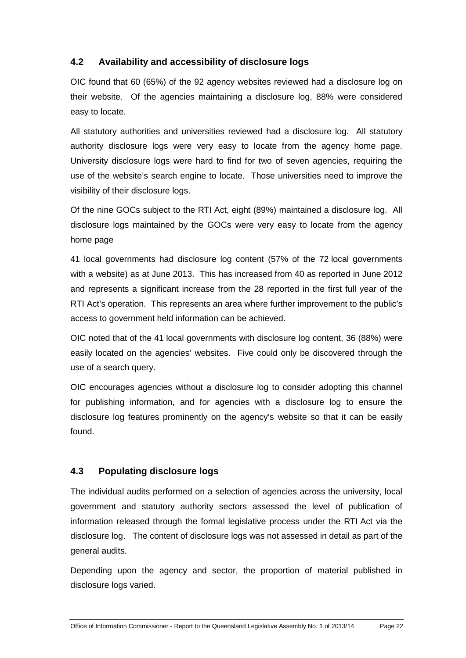## <span id="page-27-0"></span>**4.2 Availability and accessibility of disclosure logs**

OIC found that 60 (65%) of the 92 agency websites reviewed had a disclosure log on their website. Of the agencies maintaining a disclosure log, 88% were considered easy to locate.

All statutory authorities and universities reviewed had a disclosure log. All statutory authority disclosure logs were very easy to locate from the agency home page. University disclosure logs were hard to find for two of seven agencies, requiring the use of the website's search engine to locate. Those universities need to improve the visibility of their disclosure logs.

Of the nine GOCs subject to the RTI Act, eight (89%) maintained a disclosure log. All disclosure logs maintained by the GOCs were very easy to locate from the agency home page

41 local governments had disclosure log content (57% of the 72 local governments with a website) as at June 2013. This has increased from 40 as reported in June 2012 and represents a significant increase from the 28 reported in the first full year of the RTI Act's operation. This represents an area where further improvement to the public's access to government held information can be achieved.

OIC noted that of the 41 local governments with disclosure log content, 36 (88%) were easily located on the agencies' websites. Five could only be discovered through the use of a search query.

OIC encourages agencies without a disclosure log to consider adopting this channel for publishing information, and for agencies with a disclosure log to ensure the disclosure log features prominently on the agency's website so that it can be easily found.

# <span id="page-27-1"></span>**4.3 Populating disclosure logs**

The individual audits performed on a selection of agencies across the university, local government and statutory authority sectors assessed the level of publication of information released through the formal legislative process under the RTI Act via the disclosure log. The content of disclosure logs was not assessed in detail as part of the general audits.

Depending upon the agency and sector, the proportion of material published in disclosure logs varied.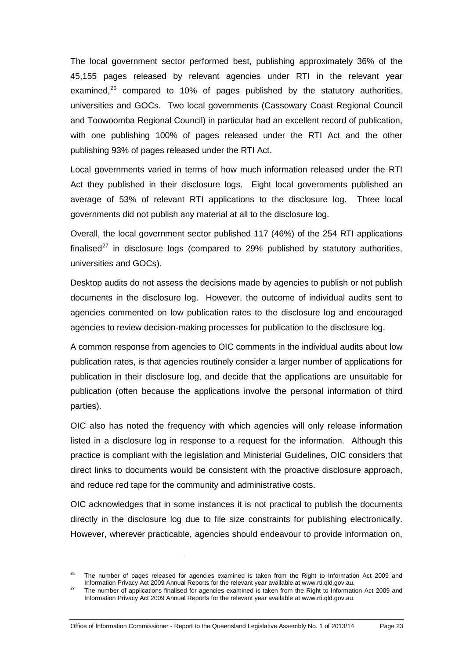The local government sector performed best, publishing approximately 36% of the 45,155 pages released by relevant agencies under RTI in the relevant year examined, [26](#page-26-1) compared to 10% of pages published by the statutory authorities, universities and GOCs. Two local governments (Cassowary Coast Regional Council and Toowoomba Regional Council) in particular had an excellent record of publication, with one publishing 100% of pages released under the RTI Act and the other publishing 93% of pages released under the RTI Act.

Local governments varied in terms of how much information released under the RTI Act they published in their disclosure logs. Eight local governments published an average of 53% of relevant RTI applications to the disclosure log. Three local governments did not publish any material at all to the disclosure log.

Overall, the local government sector published 117 (46%) of the 254 RTI applications finalised<sup>[27](#page-28-0)</sup> in disclosure logs (compared to 29% published by statutory authorities, universities and GOCs).

Desktop audits do not assess the decisions made by agencies to publish or not publish documents in the disclosure log. However, the outcome of individual audits sent to agencies commented on low publication rates to the disclosure log and encouraged agencies to review decision-making processes for publication to the disclosure log.

A common response from agencies to OIC comments in the individual audits about low publication rates, is that agencies routinely consider a larger number of applications for publication in their disclosure log, and decide that the applications are unsuitable for publication (often because the applications involve the personal information of third parties).

OIC also has noted the frequency with which agencies will only release information listed in a disclosure log in response to a request for the information. Although this practice is compliant with the legislation and Ministerial Guidelines, OIC considers that direct links to documents would be consistent with the proactive disclosure approach, and reduce red tape for the community and administrative costs.

OIC acknowledges that in some instances it is not practical to publish the documents directly in the disclosure log due to file size constraints for publishing electronically. However, wherever practicable, agencies should endeavour to provide information on,

Office of Information Commissioner - Report to the Queensland Legislative Assembly No. 1 of 2013/14 Page 23

<span id="page-28-1"></span> $^{26}$  The number of pages released for agencies examined is taken from the Right to Information Act 2009 and Information Privacy Act 2009 Annual Reports for the relevant year available at www.rti.qld.gov.au.

<span id="page-28-0"></span><sup>&</sup>lt;sup>27</sup> The number of applications finalised for agencies examined is taken from the Right to Information Act 2009 and Information Privacy Act 2009 Annual Reports for the relevant year available at www.rti.qld.gov.au.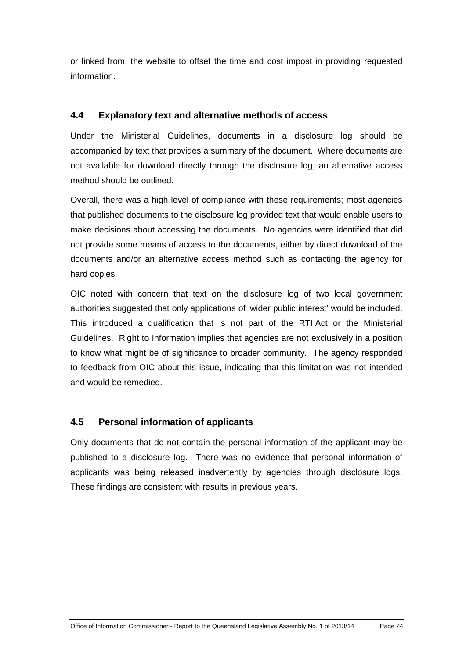or linked from, the website to offset the time and cost impost in providing requested information.

#### <span id="page-29-0"></span>**4.4 Explanatory text and alternative methods of access**

Under the Ministerial Guidelines, documents in a disclosure log should be accompanied by text that provides a summary of the document. Where documents are not available for download directly through the disclosure log, an alternative access method should be outlined.

Overall, there was a high level of compliance with these requirements; most agencies that published documents to the disclosure log provided text that would enable users to make decisions about accessing the documents. No agencies were identified that did not provide some means of access to the documents, either by direct download of the documents and/or an alternative access method such as contacting the agency for hard copies.

OIC noted with concern that text on the disclosure log of two local government authorities suggested that only applications of 'wider public interest' would be included. This introduced a qualification that is not part of the RTI Act or the Ministerial Guidelines. Right to Information implies that agencies are not exclusively in a position to know what might be of significance to broader community. The agency responded to feedback from OIC about this issue, indicating that this limitation was not intended and would be remedied.

## <span id="page-29-1"></span>**4.5 Personal information of applicants**

Only documents that do not contain the personal information of the applicant may be published to a disclosure log. There was no evidence that personal information of applicants was being released inadvertently by agencies through disclosure logs. These findings are consistent with results in previous years.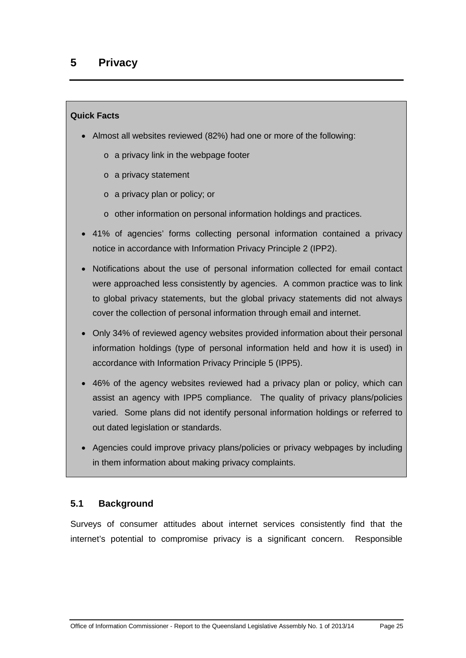#### <span id="page-30-0"></span>**Quick Facts**

- Almost all websites reviewed (82%) had one or more of the following:
	- o a privacy link in the webpage footer
	- o a privacy statement
	- o a privacy plan or policy; or
	- o other information on personal information holdings and practices.
- 41% of agencies' forms collecting personal information contained a privacy notice in accordance with Information Privacy Principle 2 (IPP2).
- Notifications about the use of personal information collected for email contact were approached less consistently by agencies. A common practice was to link to global privacy statements, but the global privacy statements did not always cover the collection of personal information through email and internet.
- Only 34% of reviewed agency websites provided information about their personal information holdings (type of personal information held and how it is used) in accordance with Information Privacy Principle 5 (IPP5).
- 46% of the agency websites reviewed had a privacy plan or policy, which can assist an agency with IPP5 compliance. The quality of privacy plans/policies varied. Some plans did not identify personal information holdings or referred to out dated legislation or standards.
- Agencies could improve privacy plans/policies or privacy webpages by including in them information about making privacy complaints.

## <span id="page-30-1"></span>**5.1 Background**

Surveys of consumer attitudes about internet services consistently find that the internet's potential to compromise privacy is a significant concern. Responsible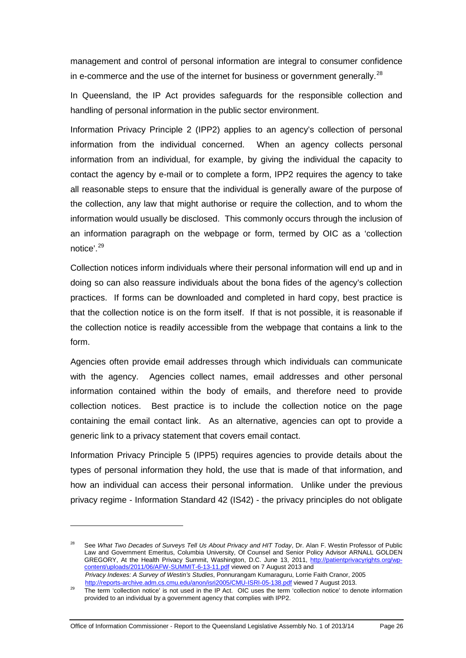management and control of personal information are integral to consumer confidence in e-commerce and the use of the internet for business or government generally.<sup>[28](#page-28-1)</sup>

In Queensland, the IP Act provides safeguards for the responsible collection and handling of personal information in the public sector environment.

Information Privacy Principle 2 (IPP2) applies to an agency's collection of personal information from the individual concerned. When an agency collects personal information from an individual, for example, by giving the individual the capacity to contact the agency by e-mail or to complete a form, IPP2 requires the agency to take all reasonable steps to ensure that the individual is generally aware of the purpose of the collection, any law that might authorise or require the collection, and to whom the information would usually be disclosed. This commonly occurs through the inclusion of an information paragraph on the webpage or form, termed by OIC as a 'collection notice'.[29](#page-31-0)

Collection notices inform individuals where their personal information will end up and in doing so can also reassure individuals about the bona fides of the agency's collection practices. If forms can be downloaded and completed in hard copy, best practice is that the collection notice is on the form itself. If that is not possible, it is reasonable if the collection notice is readily accessible from the webpage that contains a link to the form.

Agencies often provide email addresses through which individuals can communicate with the agency. Agencies collect names, email addresses and other personal information contained within the body of emails, and therefore need to provide collection notices. Best practice is to include the collection notice on the page containing the email contact link. As an alternative, agencies can opt to provide a generic link to a privacy statement that covers email contact.

Information Privacy Principle 5 (IPP5) requires agencies to provide details about the types of personal information they hold, the use that is made of that information, and how an individual can access their personal information. Unlike under the previous privacy regime - Information Standard 42 (IS42) - the privacy principles do not obligate

Office of Information Commissioner - Report to the Queensland Legislative Assembly No. 1 of 2013/14 Page 26

<sup>28</sup> See *What Two Decades of Surveys Tell Us About Privacy and HIT Today*, Dr. Alan F. Westin Professor of Public Law and Government Emeritus, Columbia University, Of Counsel and Senior Policy Advisor ARNALL GOLDEN GREGORY, At the Health Privacy Summit, Washington, D.C. June 13, 2011, <u>http://patientprivacyrights.org/wp-</u> [content/uploads/2011/06/AFW-SUMMIT-6-13-11.pdf](http://patientprivacyrights.org/wp-content/uploads/2011/06/AFW-SUMMIT-6-13-11.pdf) viewed on 7 August 2013 and *Privacy Indexes: A Survey of Westin's Studies*, Ponnurangam Kumaraguru, Lorrie Faith Cranor, 2005 <http://reports-archive.adm.cs.cmu.edu/anon/isri2005/CMU-ISRI-05-138.pdf> viewed 7 August 2013.

<span id="page-31-1"></span><span id="page-31-0"></span><sup>&</sup>lt;sup>29</sup> The term 'collection notice' is not used in the IP Act. OIC uses the term 'collection notice' to denote information provided to an individual by a government agency that complies with IPP2.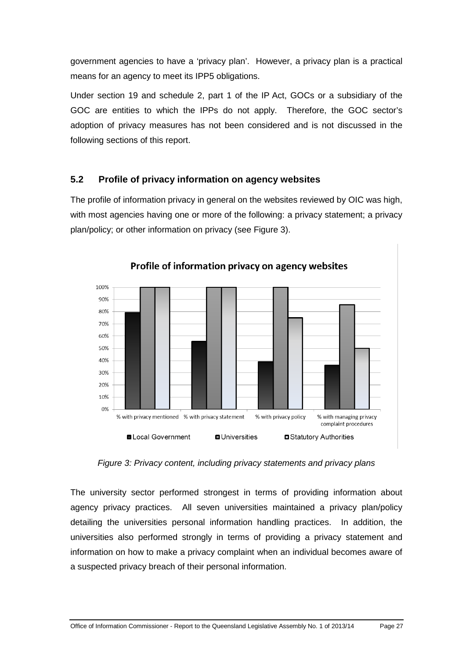government agencies to have a 'privacy plan'. However, a privacy plan is a practical means for an agency to meet its IPP5 obligations.

Under section 19 and schedule 2, part 1 of the IP Act, GOCs or a subsidiary of the GOC are entities to which the IPPs do not apply. Therefore, the GOC sector's adoption of privacy measures has not been considered and is not discussed in the following sections of this report.

## <span id="page-32-0"></span>**5.2 Profile of privacy information on agency websites**

The profile of information privacy in general on the websites reviewed by OIC was high, with most agencies having one or more of the following: a privacy statement; a privacy plan/policy; or other information on privacy (see Figure 3).



Profile of information privacy on agency websites

*Figure 3: Privacy content, including privacy statements and privacy plans*

The university sector performed strongest in terms of providing information about agency privacy practices. All seven universities maintained a privacy plan/policy detailing the universities personal information handling practices. In addition, the universities also performed strongly in terms of providing a privacy statement and information on how to make a privacy complaint when an individual becomes aware of a suspected privacy breach of their personal information.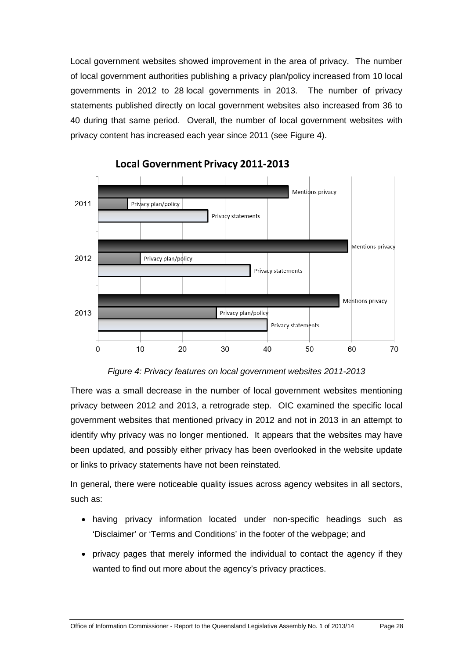Local government websites showed improvement in the area of privacy. The number of local government authorities publishing a privacy plan/policy increased from 10 local governments in 2012 to 28 local governments in 2013. The number of privacy statements published directly on local government websites also increased from 36 to 40 during that same period. Overall, the number of local government websites with privacy content has increased each year since 2011 (see Figure 4).



*Figure 4: Privacy features on local government websites 2011-2013*

There was a small decrease in the number of local government websites mentioning privacy between 2012 and 2013, a retrograde step. OIC examined the specific local government websites that mentioned privacy in 2012 and not in 2013 in an attempt to identify why privacy was no longer mentioned. It appears that the websites may have been updated, and possibly either privacy has been overlooked in the website update or links to privacy statements have not been reinstated.

In general, there were noticeable quality issues across agency websites in all sectors, such as:

- having privacy information located under non-specific headings such as 'Disclaimer' or 'Terms and Conditions' in the footer of the webpage; and
- privacy pages that merely informed the individual to contact the agency if they wanted to find out more about the agency's privacy practices.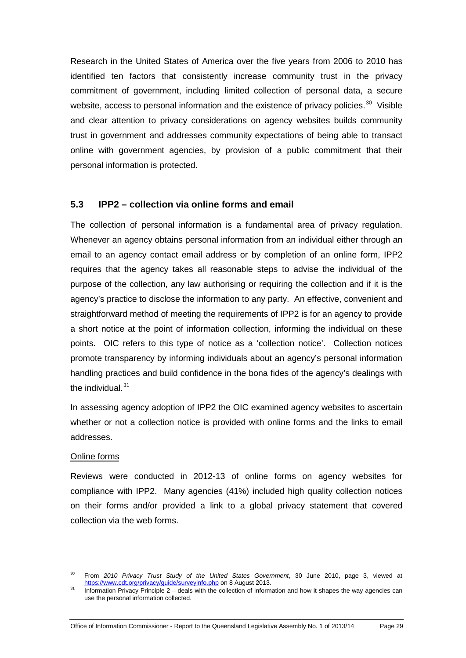Research in the United States of America over the five years from 2006 to 2010 has identified ten factors that consistently increase community trust in the privacy commitment of government, including limited collection of personal data, a secure website, access to personal information and the existence of privacy policies.<sup>[30](#page-31-1)</sup> Visible and clear attention to privacy considerations on agency websites builds community trust in government and addresses community expectations of being able to transact online with government agencies, by provision of a public commitment that their personal information is protected.

#### <span id="page-34-0"></span>**5.3 IPP2 – collection via online forms and email**

The collection of personal information is a fundamental area of privacy regulation. Whenever an agency obtains personal information from an individual either through an email to an agency contact email address or by completion of an online form, IPP2 requires that the agency takes all reasonable steps to advise the individual of the purpose of the collection, any law authorising or requiring the collection and if it is the agency's practice to disclose the information to any party. An effective, convenient and straightforward method of meeting the requirements of IPP2 is for an agency to provide a short notice at the point of information collection, informing the individual on these points. OIC refers to this type of notice as a 'collection notice'. Collection notices promote transparency by informing individuals about an agency's personal information handling practices and build confidence in the bona fides of the agency's dealings with the individual.<sup>[31](#page-34-1)</sup>

In assessing agency adoption of IPP2 the OIC examined agency websites to ascertain whether or not a collection notice is provided with online forms and the links to email addresses.

#### Online forms

-

Reviews were conducted in 2012-13 of online forms on agency websites for compliance with IPP2. Many agencies (41%) included high quality collection notices on their forms and/or provided a link to a global privacy statement that covered collection via the web forms.

Office of Information Commissioner - Report to the Queensland Legislative Assembly No. 1 of 2013/14 Page 29

<sup>30</sup> From *2010 Privacy Trust Study of the United States Government*, 30 June 2010, page 3, viewed at <https://www.cdt.org/privacy/guide/surveyinfo.php> on 8 August 2013.

<span id="page-34-1"></span><sup>&</sup>lt;sup>31</sup> Information Privacy Principle 2 – deals with the collection of information and how it shapes the way agencies can use the personal information collected.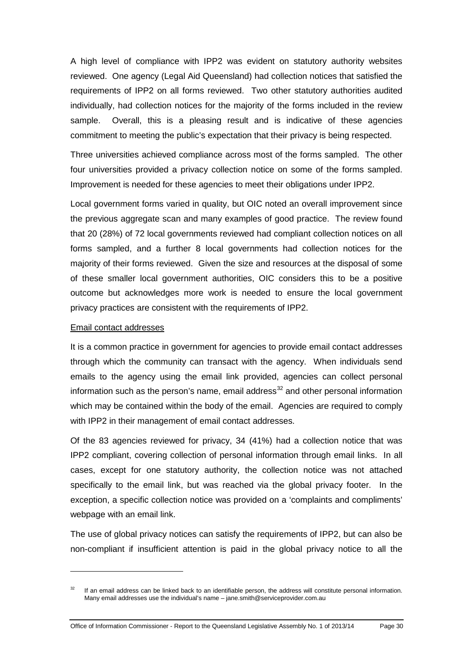A high level of compliance with IPP2 was evident on statutory authority websites reviewed. One agency (Legal Aid Queensland) had collection notices that satisfied the requirements of IPP2 on all forms reviewed. Two other statutory authorities audited individually, had collection notices for the majority of the forms included in the review sample. Overall, this is a pleasing result and is indicative of these agencies commitment to meeting the public's expectation that their privacy is being respected.

Three universities achieved compliance across most of the forms sampled. The other four universities provided a privacy collection notice on some of the forms sampled. Improvement is needed for these agencies to meet their obligations under IPP2.

Local government forms varied in quality, but OIC noted an overall improvement since the previous aggregate scan and many examples of good practice. The review found that 20 (28%) of 72 local governments reviewed had compliant collection notices on all forms sampled, and a further 8 local governments had collection notices for the majority of their forms reviewed. Given the size and resources at the disposal of some of these smaller local government authorities, OIC considers this to be a positive outcome but acknowledges more work is needed to ensure the local government privacy practices are consistent with the requirements of IPP2.

#### Email contact addresses

-

It is a common practice in government for agencies to provide email contact addresses through which the community can transact with the agency. When individuals send emails to the agency using the email link provided, agencies can collect personal information such as the person's name, email address $32$  and other personal information which may be contained within the body of the email. Agencies are required to comply with IPP2 in their management of email contact addresses.

Of the 83 agencies reviewed for privacy, 34 (41%) had a collection notice that was IPP2 compliant, covering collection of personal information through email links. In all cases, except for one statutory authority, the collection notice was not attached specifically to the email link, but was reached via the global privacy footer. In the exception, a specific collection notice was provided on a 'complaints and compliments' webpage with an email link.

The use of global privacy notices can satisfy the requirements of IPP2, but can also be non-compliant if insufficient attention is paid in the global privacy notice to all the

<span id="page-35-0"></span> $32$  If an email address can be linked back to an identifiable person, the address will constitute personal information. Many email addresses use the individual's name – jane.smith@serviceprovider.com.au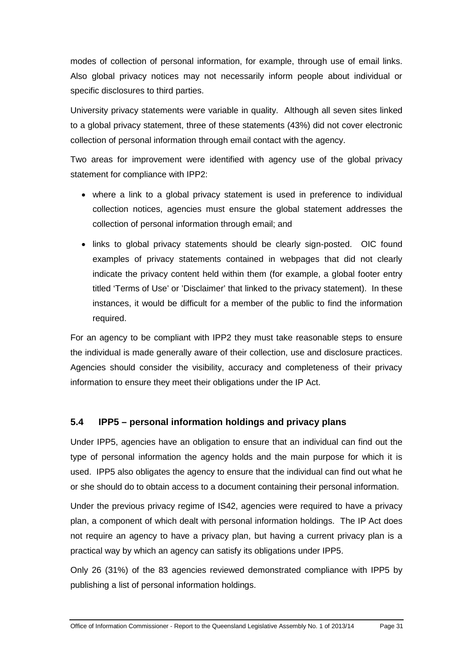modes of collection of personal information, for example, through use of email links. Also global privacy notices may not necessarily inform people about individual or specific disclosures to third parties.

University privacy statements were variable in quality. Although all seven sites linked to a global privacy statement, three of these statements (43%) did not cover electronic collection of personal information through email contact with the agency.

Two areas for improvement were identified with agency use of the global privacy statement for compliance with IPP2:

- where a link to a global privacy statement is used in preference to individual collection notices, agencies must ensure the global statement addresses the collection of personal information through email; and
- links to global privacy statements should be clearly sign-posted. OIC found examples of privacy statements contained in webpages that did not clearly indicate the privacy content held within them (for example, a global footer entry titled 'Terms of Use' or 'Disclaimer' that linked to the privacy statement). In these instances, it would be difficult for a member of the public to find the information required.

For an agency to be compliant with IPP2 they must take reasonable steps to ensure the individual is made generally aware of their collection, use and disclosure practices. Agencies should consider the visibility, accuracy and completeness of their privacy information to ensure they meet their obligations under the IP Act.

## <span id="page-36-0"></span>**5.4 IPP5 – personal information holdings and privacy plans**

Under IPP5, agencies have an obligation to ensure that an individual can find out the type of personal information the agency holds and the main purpose for which it is used. IPP5 also obligates the agency to ensure that the individual can find out what he or she should do to obtain access to a document containing their personal information.

Under the previous privacy regime of IS42, agencies were required to have a privacy plan, a component of which dealt with personal information holdings. The IP Act does not require an agency to have a privacy plan, but having a current privacy plan is a practical way by which an agency can satisfy its obligations under IPP5.

Only 26 (31%) of the 83 agencies reviewed demonstrated compliance with IPP5 by publishing a list of personal information holdings.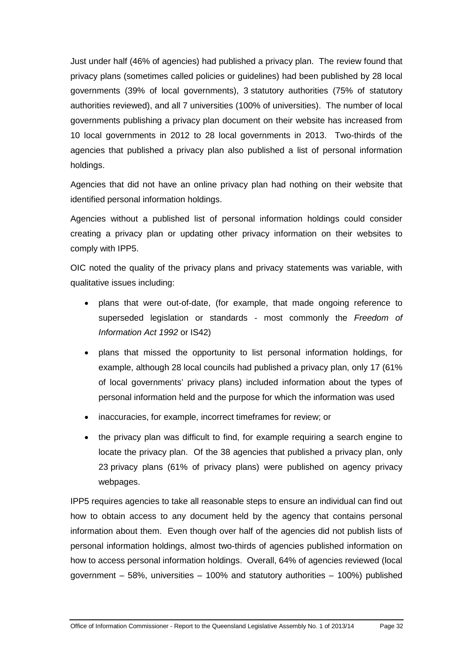Just under half (46% of agencies) had published a privacy plan. The review found that privacy plans (sometimes called policies or guidelines) had been published by 28 local governments (39% of local governments), 3 statutory authorities (75% of statutory authorities reviewed), and all 7 universities (100% of universities). The number of local governments publishing a privacy plan document on their website has increased from 10 local governments in 2012 to 28 local governments in 2013. Two-thirds of the agencies that published a privacy plan also published a list of personal information holdings.

Agencies that did not have an online privacy plan had nothing on their website that identified personal information holdings.

Agencies without a published list of personal information holdings could consider creating a privacy plan or updating other privacy information on their websites to comply with IPP5.

OIC noted the quality of the privacy plans and privacy statements was variable, with qualitative issues including:

- plans that were out-of-date, (for example, that made ongoing reference to superseded legislation or standards - most commonly the *Freedom of Information Act 1992* or IS42)
- plans that missed the opportunity to list personal information holdings, for example, although 28 local councils had published a privacy plan, only 17 (61% of local governments' privacy plans) included information about the types of personal information held and the purpose for which the information was used
- inaccuracies, for example, incorrect timeframes for review; or
- the privacy plan was difficult to find, for example requiring a search engine to locate the privacy plan. Of the 38 agencies that published a privacy plan, only 23 privacy plans (61% of privacy plans) were published on agency privacy webpages.

IPP5 requires agencies to take all reasonable steps to ensure an individual can find out how to obtain access to any document held by the agency that contains personal information about them. Even though over half of the agencies did not publish lists of personal information holdings, almost two-thirds of agencies published information on how to access personal information holdings. Overall, 64% of agencies reviewed (local government – 58%, universities – 100% and statutory authorities – 100%) published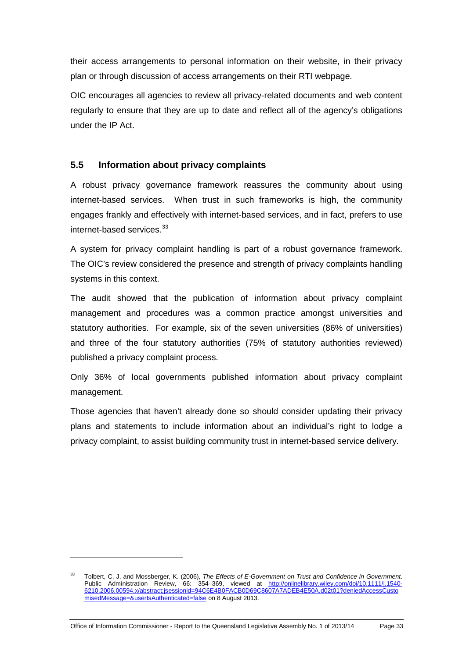their access arrangements to personal information on their website, in their privacy plan or through discussion of access arrangements on their RTI webpage.

OIC encourages all agencies to review all privacy-related documents and web content regularly to ensure that they are up to date and reflect all of the agency's obligations under the IP Act.

#### <span id="page-38-0"></span>**5.5 Information about privacy complaints**

A robust privacy governance framework reassures the community about using internet-based services. When trust in such frameworks is high, the community engages frankly and effectively with internet-based services, and in fact, prefers to use internet-based services. [33](#page-35-0)

A system for privacy complaint handling is part of a robust governance framework. The OIC's review considered the presence and strength of privacy complaints handling systems in this context.

The audit showed that the publication of information about privacy complaint management and procedures was a common practice amongst universities and statutory authorities. For example, six of the seven universities (86% of universities) and three of the four statutory authorities (75% of statutory authorities reviewed) published a privacy complaint process.

Only 36% of local governments published information about privacy complaint management.

Those agencies that haven't already done so should consider updating their privacy plans and statements to include information about an individual's right to lodge a privacy complaint, to assist building community trust in internet-based service delivery.

<sup>33</sup> Tolbert, C. J. and Mossberger, K. (2006), *The Effects of E-Government on Trust and Confidence in Government*. Public Administration Review, 66: 354–369, viewed at [http://onlinelibrary.wiley.com/doi/10.1111/j.1540-](http://onlinelibrary.wiley.com/doi/10.1111/j.1540-6210.2006.00594.x/abstract;jsessionid=94C6E4B0FACB0D69C8607A7ADEB4E50A.d02t01?deniedAccessCustomisedMessage=&userIsAuthenticated=false) [6210.2006.00594.x/abstract;jsessionid=94C6E4B0FACB0D69C8607A7ADEB4E50A.d02t01?deniedAccessCusto](http://onlinelibrary.wiley.com/doi/10.1111/j.1540-6210.2006.00594.x/abstract;jsessionid=94C6E4B0FACB0D69C8607A7ADEB4E50A.d02t01?deniedAccessCustomisedMessage=&userIsAuthenticated=false) [misedMessage=&userIsAuthenticated=false](http://onlinelibrary.wiley.com/doi/10.1111/j.1540-6210.2006.00594.x/abstract;jsessionid=94C6E4B0FACB0D69C8607A7ADEB4E50A.d02t01?deniedAccessCustomisedMessage=&userIsAuthenticated=false) on 8 August 2013.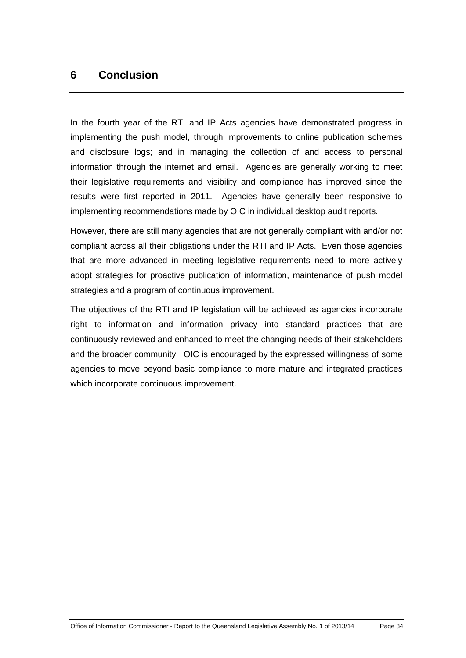# <span id="page-39-0"></span>**6 Conclusion**

In the fourth year of the RTI and IP Acts agencies have demonstrated progress in implementing the push model, through improvements to online publication schemes and disclosure logs; and in managing the collection of and access to personal information through the internet and email. Agencies are generally working to meet their legislative requirements and visibility and compliance has improved since the results were first reported in 2011. Agencies have generally been responsive to implementing recommendations made by OIC in individual desktop audit reports.

However, there are still many agencies that are not generally compliant with and/or not compliant across all their obligations under the RTI and IP Acts. Even those agencies that are more advanced in meeting legislative requirements need to more actively adopt strategies for proactive publication of information, maintenance of push model strategies and a program of continuous improvement.

The objectives of the RTI and IP legislation will be achieved as agencies incorporate right to information and information privacy into standard practices that are continuously reviewed and enhanced to meet the changing needs of their stakeholders and the broader community. OIC is encouraged by the expressed willingness of some agencies to move beyond basic compliance to more mature and integrated practices which incorporate continuous improvement.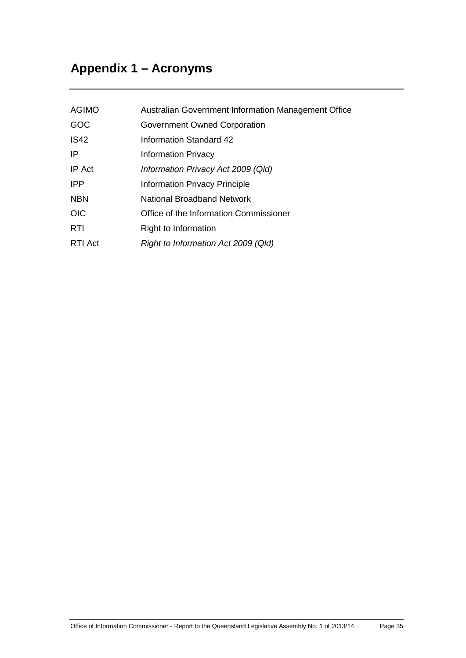# <span id="page-40-0"></span>**Appendix 1 – Acronyms**

<span id="page-40-1"></span>

| <b>AGIMO</b> | Australian Government Information Management Office |
|--------------|-----------------------------------------------------|
| GOC          | Government Owned Corporation                        |
| <b>IS42</b>  | Information Standard 42                             |
| ΙP           | <b>Information Privacy</b>                          |
| IP Act       | Information Privacy Act 2009 (QId)                  |
| <b>IPP</b>   | <b>Information Privacy Principle</b>                |
| <b>NBN</b>   | National Broadband Network                          |
| <b>OIC</b>   | Office of the Information Commissioner              |
| <b>RTI</b>   | Right to Information                                |
| RTI Act      | Right to Information Act 2009 (Qld)                 |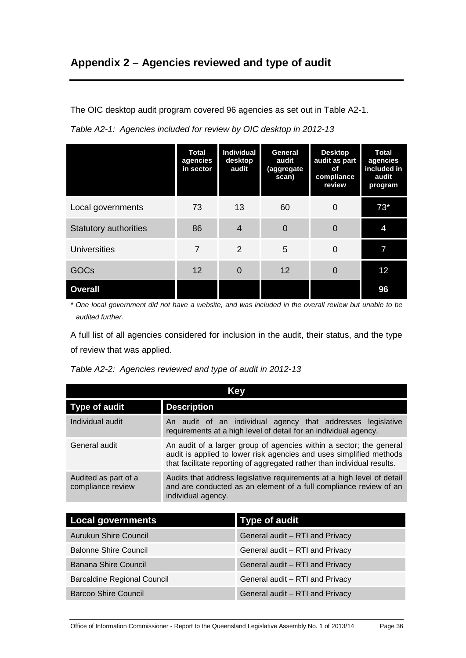# **Appendix 2 – Agencies reviewed and type of audit**

The OIC desktop audit program covered 96 agencies as set out in Table A2-1.

| Table A2-1: Agencies included for review by OIC desktop in 2012-13 |  |  |  |
|--------------------------------------------------------------------|--|--|--|
|                                                                    |  |  |  |

|                              | <b>Total</b><br>agencies<br>in sector | Individual<br>desktop<br>audit | General<br>audit<br>(aggregate<br>scan) | <b>Desktop</b><br>audit as part<br>of<br>compliance<br>review | <b>Total</b><br>agencies<br>included in<br>audit<br>program |
|------------------------------|---------------------------------------|--------------------------------|-----------------------------------------|---------------------------------------------------------------|-------------------------------------------------------------|
| Local governments            | 73                                    | 13                             | 60                                      | $\Omega$                                                      | $73*$                                                       |
| <b>Statutory authorities</b> | 86                                    | $\overline{4}$                 | $\overline{0}$                          | $\Omega$                                                      | 4                                                           |
| <b>Universities</b>          | $\overline{7}$                        | 2                              | 5                                       | 0                                                             | 7                                                           |
| GOCs                         | 12                                    | 0                              | 12                                      | 0                                                             | 12                                                          |
| <b>Overall</b>               |                                       |                                |                                         |                                                               | 96                                                          |

*\* One local government did not have a website, and was included in the overall review but unable to be audited further.*

A full list of all agencies considered for inclusion in the audit, their status, and the type of review that was applied.

| Table A2-2: Agencies reviewed and type of audit in 2012-13 |  |  |  |  |  |  |
|------------------------------------------------------------|--|--|--|--|--|--|
|------------------------------------------------------------|--|--|--|--|--|--|

|                                           | Kev                                                                                                                                                                                                                   |  |  |  |  |
|-------------------------------------------|-----------------------------------------------------------------------------------------------------------------------------------------------------------------------------------------------------------------------|--|--|--|--|
| <b>Type of audit</b>                      | <b>Description</b>                                                                                                                                                                                                    |  |  |  |  |
| Individual audit                          | An audit of an individual agency that addresses legislative<br>requirements at a high level of detail for an individual agency.                                                                                       |  |  |  |  |
| General audit                             | An audit of a larger group of agencies within a sector; the general<br>audit is applied to lower risk agencies and uses simplified methods<br>that facilitate reporting of aggregated rather than individual results. |  |  |  |  |
| Audited as part of a<br>compliance review | Audits that address legislative requirements at a high level of detail<br>and are conducted as an element of a full compliance review of an<br>individual agency.                                                     |  |  |  |  |

| <b>Local governments</b>           | <b>Type of audit</b>            |
|------------------------------------|---------------------------------|
| <b>Aurukun Shire Council</b>       | General audit - RTI and Privacy |
| <b>Balonne Shire Council</b>       | General audit - RTI and Privacy |
| Banana Shire Council               | General audit - RTI and Privacy |
| <b>Barcaldine Regional Council</b> | General audit - RTI and Privacy |
| <b>Barcoo Shire Council</b>        | General audit - RTI and Privacy |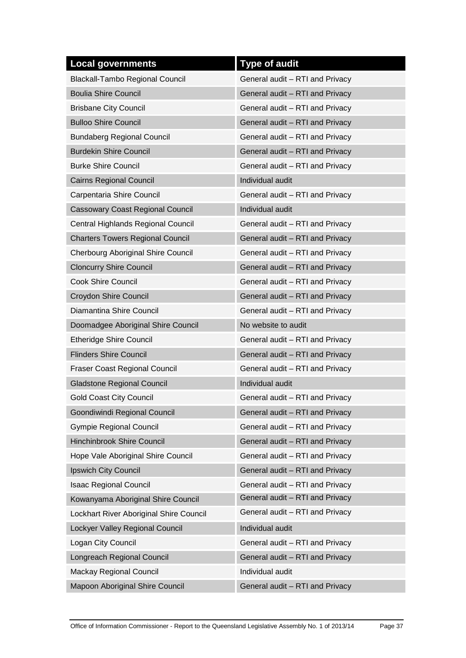| <b>Local governments</b>                | <b>Type of audit</b>            |
|-----------------------------------------|---------------------------------|
| <b>Blackall-Tambo Regional Council</b>  | General audit - RTI and Privacy |
| <b>Boulia Shire Council</b>             | General audit - RTI and Privacy |
| <b>Brisbane City Council</b>            | General audit - RTI and Privacy |
| <b>Bulloo Shire Council</b>             | General audit - RTI and Privacy |
| <b>Bundaberg Regional Council</b>       | General audit - RTI and Privacy |
| <b>Burdekin Shire Council</b>           | General audit - RTI and Privacy |
| <b>Burke Shire Council</b>              | General audit - RTI and Privacy |
| <b>Cairns Regional Council</b>          | Individual audit                |
| Carpentaria Shire Council               | General audit - RTI and Privacy |
| <b>Cassowary Coast Regional Council</b> | Individual audit                |
| Central Highlands Regional Council      | General audit - RTI and Privacy |
| <b>Charters Towers Regional Council</b> | General audit - RTI and Privacy |
| Cherbourg Aboriginal Shire Council      | General audit - RTI and Privacy |
| <b>Cloncurry Shire Council</b>          | General audit - RTI and Privacy |
| <b>Cook Shire Council</b>               | General audit - RTI and Privacy |
| <b>Croydon Shire Council</b>            | General audit - RTI and Privacy |
| Diamantina Shire Council                | General audit - RTI and Privacy |
| Doomadgee Aboriginal Shire Council      | No website to audit             |
| <b>Etheridge Shire Council</b>          | General audit - RTI and Privacy |
| <b>Flinders Shire Council</b>           | General audit - RTI and Privacy |
| <b>Fraser Coast Regional Council</b>    | General audit - RTI and Privacy |
| <b>Gladstone Regional Council</b>       | Individual audit                |
| <b>Gold Coast City Council</b>          | General audit - RTI and Privacy |
| Goondiwindi Regional Council            | General audit - RTI and Privacy |
| <b>Gympie Regional Council</b>          | General audit - RTI and Privacy |
| <b>Hinchinbrook Shire Council</b>       | General audit - RTI and Privacy |
| Hope Vale Aboriginal Shire Council      | General audit - RTI and Privacy |
| Ipswich City Council                    | General audit - RTI and Privacy |
| <b>Isaac Regional Council</b>           | General audit - RTI and Privacy |
| Kowanyama Aboriginal Shire Council      | General audit - RTI and Privacy |
| Lockhart River Aboriginal Shire Council | General audit - RTI and Privacy |
| Lockyer Valley Regional Council         | Individual audit                |
| Logan City Council                      | General audit - RTI and Privacy |
| Longreach Regional Council              | General audit - RTI and Privacy |
| Mackay Regional Council                 | Individual audit                |
| Mapoon Aboriginal Shire Council         | General audit - RTI and Privacy |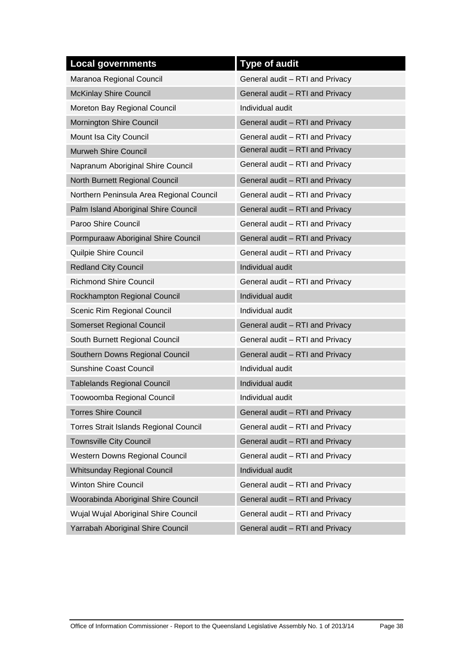| <b>Local governments</b>                      | <b>Type of audit</b>            |
|-----------------------------------------------|---------------------------------|
| Maranoa Regional Council                      | General audit - RTI and Privacy |
| <b>McKinlay Shire Council</b>                 | General audit - RTI and Privacy |
| Moreton Bay Regional Council                  | Individual audit                |
| Mornington Shire Council                      | General audit - RTI and Privacy |
| Mount Isa City Council                        | General audit - RTI and Privacy |
| Murweh Shire Council                          | General audit - RTI and Privacy |
| Napranum Aboriginal Shire Council             | General audit - RTI and Privacy |
| North Burnett Regional Council                | General audit - RTI and Privacy |
| Northern Peninsula Area Regional Council      | General audit - RTI and Privacy |
| Palm Island Aboriginal Shire Council          | General audit - RTI and Privacy |
| Paroo Shire Council                           | General audit - RTI and Privacy |
| Pormpuraaw Aboriginal Shire Council           | General audit - RTI and Privacy |
| <b>Quilpie Shire Council</b>                  | General audit - RTI and Privacy |
| <b>Redland City Council</b>                   | Individual audit                |
| <b>Richmond Shire Council</b>                 | General audit - RTI and Privacy |
| Rockhampton Regional Council                  | Individual audit                |
| Scenic Rim Regional Council                   | Individual audit                |
| <b>Somerset Regional Council</b>              | General audit - RTI and Privacy |
| South Burnett Regional Council                | General audit - RTI and Privacy |
| Southern Downs Regional Council               | General audit - RTI and Privacy |
| <b>Sunshine Coast Council</b>                 | Individual audit                |
| <b>Tablelands Regional Council</b>            | Individual audit                |
| Toowoomba Regional Council                    | Individual audit                |
| <b>Torres Shire Council</b>                   | General audit - RTI and Privacy |
| <b>Torres Strait Islands Regional Council</b> | General audit - RTI and Privacy |
| <b>Townsville City Council</b>                | General audit - RTI and Privacy |
| Western Downs Regional Council                | General audit - RTI and Privacy |
| Whitsunday Regional Council                   | Individual audit                |
| <b>Winton Shire Council</b>                   | General audit - RTI and Privacy |
| Woorabinda Aboriginal Shire Council           | General audit - RTI and Privacy |
| Wujal Wujal Aboriginal Shire Council          | General audit - RTI and Privacy |
| Yarrabah Aboriginal Shire Council             | General audit - RTI and Privacy |